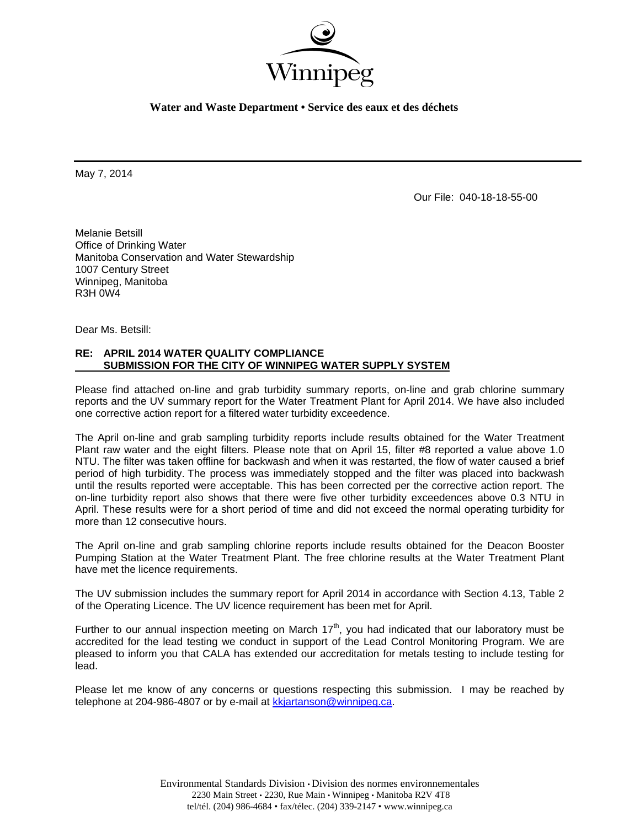

**Water and Waste Department • Service des eaux et des déchets** 

May 7, 2014

Our File: 040-18-18-55-00

Melanie Betsill Office of Drinking Water Manitoba Conservation and Water Stewardship 1007 Century Street Winnipeg, Manitoba R3H 0W4

Dear Ms. Betsill:

## **RE: APRIL 2014 WATER QUALITY COMPLIANCE SUBMISSION FOR THE CITY OF WINNIPEG WATER SUPPLY SYSTEM**

Please find attached on-line and grab turbidity summary reports, on-line and grab chlorine summary reports and the UV summary report for the Water Treatment Plant for April 2014. We have also included one corrective action report for a filtered water turbidity exceedence.

The April on-line and grab sampling turbidity reports include results obtained for the Water Treatment Plant raw water and the eight filters. Please note that on April 15, filter #8 reported a value above 1.0 NTU. The filter was taken offline for backwash and when it was restarted, the flow of water caused a brief period of high turbidity. The process was immediately stopped and the filter was placed into backwash until the results reported were acceptable. This has been corrected per the corrective action report. The on-line turbidity report also shows that there were five other turbidity exceedences above 0.3 NTU in April. These results were for a short period of time and did not exceed the normal operating turbidity for more than 12 consecutive hours.

The April on-line and grab sampling chlorine reports include results obtained for the Deacon Booster Pumping Station at the Water Treatment Plant. The free chlorine results at the Water Treatment Plant have met the licence requirements.

The UV submission includes the summary report for April 2014 in accordance with Section 4.13, Table 2 of the Operating Licence. The UV licence requirement has been met for April.

Further to our annual inspection meeting on March  $17<sup>th</sup>$ , you had indicated that our laboratory must be accredited for the lead testing we conduct in support of the Lead Control Monitoring Program. We are pleased to inform you that CALA has extended our accreditation for metals testing to include testing for lead.

Please let me know of any concerns or questions respecting this submission. I may be reached by telephone at 204-986-4807 or by e-mail at kkjartanson@winnipeg.ca.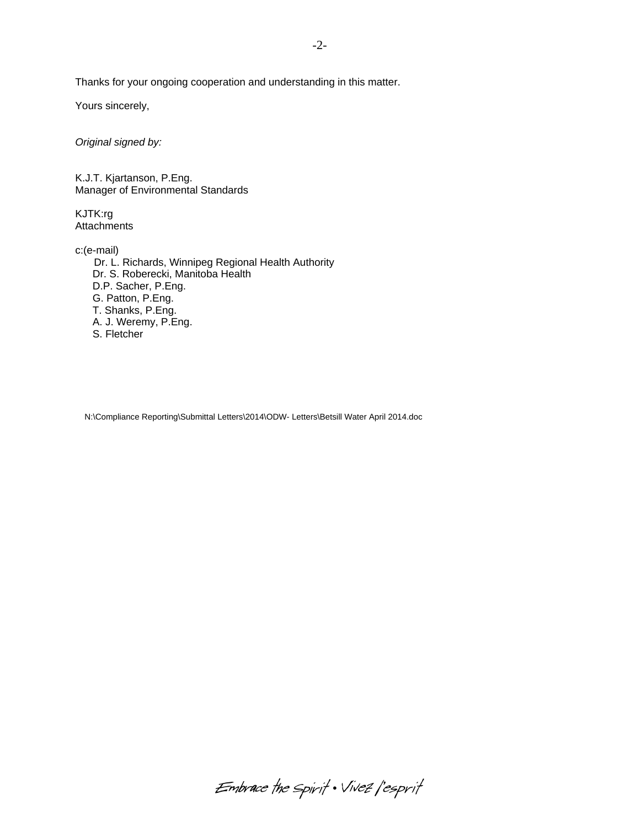Thanks for your ongoing cooperation and understanding in this matter.

Yours sincerely,

*Original signed by:* 

K.J.T. Kjartanson, P.Eng. Manager of Environmental Standards

KJTK:rg **Attachments** 

c:(e-mail)

 Dr. L. Richards, Winnipeg Regional Health Authority Dr. S. Roberecki, Manitoba Health D.P. Sacher, P.Eng. G. Patton, P.Eng. T. Shanks, P.Eng. A. J. Weremy, P.Eng. S. Fletcher

N:\Compliance Reporting\Submittal Letters\2014\ODW- Letters\Betsill Water April 2014.doc

Embrace the spirit . Vivez l'esprit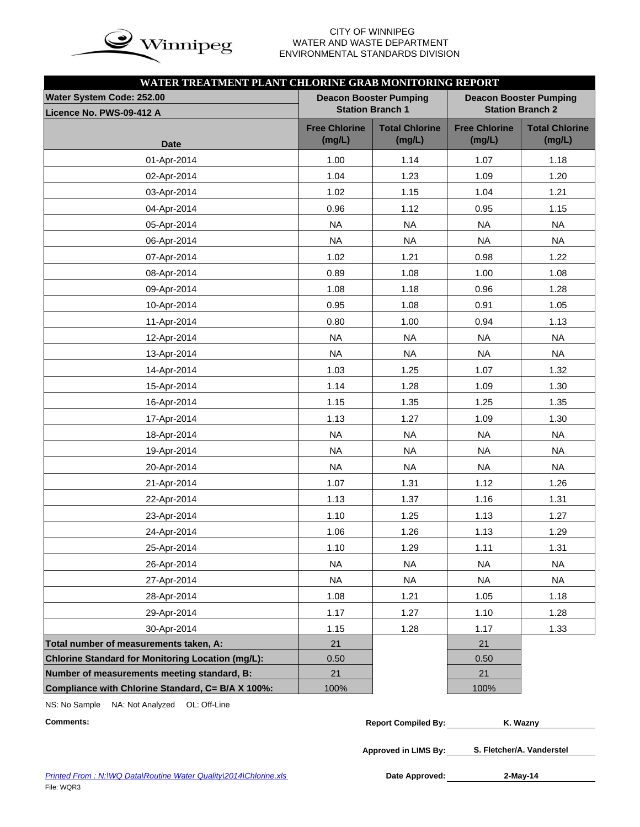

# WATER AND WASTE DEPARTMENT ENVIRONMENTAL STANDARDS DIVISION

| WATER TREATMENT PLANT CHLORINE GRAB MONITORING REPORT |                                |                                                          |                                |                                 |  |  |  |
|-------------------------------------------------------|--------------------------------|----------------------------------------------------------|--------------------------------|---------------------------------|--|--|--|
| Water System Code: 252.00                             |                                | <b>Deacon Booster Pumping</b><br><b>Station Branch 1</b> |                                | <b>Deacon Booster Pumping</b>   |  |  |  |
| Licence No. PWS-09-412 A                              |                                |                                                          |                                | <b>Station Branch 2</b>         |  |  |  |
| <b>Date</b>                                           | <b>Free Chlorine</b><br>(mg/L) | <b>Total Chlorine</b><br>(mg/L)                          | <b>Free Chlorine</b><br>(mg/L) | <b>Total Chlorine</b><br>(mg/L) |  |  |  |
| 01-Apr-2014                                           | 1.00                           | 1.14                                                     | 1.07                           | 1.18                            |  |  |  |
| 02-Apr-2014                                           | 1.04                           | 1.23                                                     | 1.09                           | 1.20                            |  |  |  |
| 03-Apr-2014                                           | 1.02                           | 1.15                                                     | 1.04                           | 1.21                            |  |  |  |
| 04-Apr-2014                                           | 0.96                           | 1.12                                                     | 0.95                           | 1.15                            |  |  |  |
| 05-Apr-2014                                           | <b>NA</b>                      | <b>NA</b>                                                | <b>NA</b>                      | <b>NA</b>                       |  |  |  |
| 06-Apr-2014                                           | <b>NA</b>                      | <b>NA</b>                                                | <b>NA</b>                      | <b>NA</b>                       |  |  |  |
| 07-Apr-2014                                           | 1.02                           | 1.21                                                     | 0.98                           | 1.22                            |  |  |  |
| 08-Apr-2014                                           | 0.89                           | 1.08                                                     | 1.00                           | 1.08                            |  |  |  |
| 09-Apr-2014                                           | 1.08                           | 1.18                                                     | 0.96                           | 1.28                            |  |  |  |
| 10-Apr-2014                                           | 0.95                           | 1.08                                                     | 0.91                           | 1.05                            |  |  |  |
| 11-Apr-2014                                           | 0.80                           | 1.00                                                     | 0.94                           | 1.13                            |  |  |  |
| 12-Apr-2014                                           | <b>NA</b>                      | <b>NA</b>                                                | <b>NA</b>                      | <b>NA</b>                       |  |  |  |
| 13-Apr-2014                                           | <b>NA</b>                      | <b>NA</b>                                                | <b>NA</b>                      | <b>NA</b>                       |  |  |  |
| 14-Apr-2014                                           | 1.03                           | 1.25                                                     | 1.07                           | 1.32                            |  |  |  |
| 15-Apr-2014                                           | 1.14                           | 1.28                                                     | 1.09                           | 1.30                            |  |  |  |
| 16-Apr-2014                                           | 1.15                           | 1.35                                                     | 1.25                           | 1.35                            |  |  |  |
| 17-Apr-2014                                           | 1.13                           | 1.27                                                     | 1.09                           | 1.30                            |  |  |  |
| 18-Apr-2014                                           | <b>NA</b>                      | <b>NA</b>                                                | <b>NA</b>                      | <b>NA</b>                       |  |  |  |
| 19-Apr-2014                                           | <b>NA</b>                      | <b>NA</b>                                                | <b>NA</b>                      | <b>NA</b>                       |  |  |  |
| 20-Apr-2014                                           | <b>NA</b>                      | <b>NA</b>                                                | <b>NA</b>                      | <b>NA</b>                       |  |  |  |
| 21-Apr-2014                                           | 1.07                           | 1.31                                                     | 1.12                           | 1.26                            |  |  |  |
| 22-Apr-2014                                           | 1.13                           | 1.37                                                     | 1.16                           | 1.31                            |  |  |  |
| 23-Apr-2014                                           | 1.10                           | 1.25                                                     | 1.13                           | 1.27                            |  |  |  |
| 24-Apr-2014                                           | 1.06                           | 1.26                                                     | 1.13                           | 1.29                            |  |  |  |
| 25-Apr-2014                                           | 1.10                           | 1.29                                                     | 1.11                           | 1.31                            |  |  |  |
| 26-Apr-2014                                           | <b>NA</b>                      | <b>NA</b>                                                | <b>NA</b>                      | <b>NA</b>                       |  |  |  |
| 27-Apr-2014                                           | <b>NA</b>                      | <b>NA</b>                                                | <b>NA</b>                      | <b>NA</b>                       |  |  |  |
| 28-Apr-2014                                           | 1.08                           | 1.21                                                     | 1.05                           | 1.18                            |  |  |  |
| 29-Apr-2014                                           | 1.17                           | 1.27                                                     | 1.10                           | 1.28                            |  |  |  |
| 30-Apr-2014                                           | 1.15                           | 1.28                                                     | 1.17                           | 1.33                            |  |  |  |
| Total number of measurements taken, A:                | 21                             |                                                          | 21                             |                                 |  |  |  |
| Chlorine Standard for Monitoring Location (mg/L):     | 0.50                           |                                                          | 0.50                           |                                 |  |  |  |
| Number of measurements meeting standard, B:           | 21                             |                                                          | 21                             |                                 |  |  |  |
| Compliance with Chlorine Standard, C= B/A X 100%:     | 100%                           |                                                          | 100%                           |                                 |  |  |  |

NS: No Sample NA: Not Analyzed OL: Off-Line

| <b>Comments:</b> | <b>Report Compiled By:</b> | <b>∴ Waznv</b> |
|------------------|----------------------------|----------------|
|                  |                            |                |

**Approved in LIMS By: S. Fletcher/A. Vanderstel**

**2-May-14**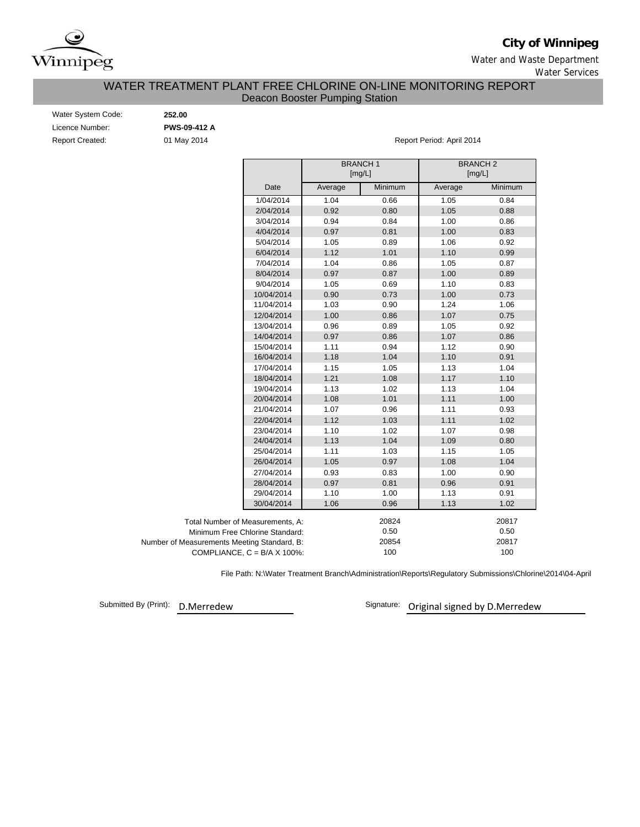

**City of Winnipeg**

Water and Waste Department Water Services

### WATER TREATMENT PLANT FREE CHLORINE ON-LINE MONITORING REPORT Deacon Booster Pumping Station

| Water System Code: |  |
|--------------------|--|
| Licence Number:    |  |
| Report Created:    |  |

Water System Code: **252.00** Licence Number: **PWS-09-412 A**

01 May 2014 **Report Period: April 2014** 

|                                             |                                      |         | <b>BRANCH1</b><br>[mg/L] |         | <b>BRANCH2</b><br>[mg/L] |
|---------------------------------------------|--------------------------------------|---------|--------------------------|---------|--------------------------|
|                                             | Date                                 | Average | Minimum                  | Average | Minimum                  |
|                                             | 1/04/2014                            | 1.04    | 0.66                     | 1.05    | 0.84                     |
|                                             | 2/04/2014                            | 0.92    | 0.80                     | 1.05    | 0.88                     |
|                                             | 3/04/2014                            | 0.94    | 0.84                     | 1.00    | 0.86                     |
|                                             | 4/04/2014                            | 0.97    | 0.81                     | 1.00    | 0.83                     |
|                                             | 5/04/2014                            | 1.05    | 0.89                     | 1.06    | 0.92                     |
|                                             | 6/04/2014                            | 1.12    | 1.01                     | 1.10    | 0.99                     |
|                                             | 7/04/2014                            | 1.04    | 0.86                     | 1.05    | 0.87                     |
|                                             | 8/04/2014                            | 0.97    | 0.87                     | 1.00    | 0.89                     |
|                                             | 9/04/2014                            | 1.05    | 0.69                     | 1.10    | 0.83                     |
|                                             | 10/04/2014                           | 0.90    | 0.73                     | 1.00    | 0.73                     |
|                                             | 11/04/2014                           | 1.03    | 0.90                     | 1.24    | 1.06                     |
|                                             | 12/04/2014                           | 1.00    | 0.86                     | 1.07    | 0.75                     |
|                                             | 13/04/2014                           | 0.96    | 0.89                     | 1.05    | 0.92                     |
|                                             | 14/04/2014                           | 0.97    | 0.86                     | 1.07    | 0.86                     |
|                                             | 15/04/2014                           | 1.11    | 0.94                     | 1.12    | 0.90                     |
|                                             | 16/04/2014                           | 1.18    | 1.04                     | 1.10    | 0.91                     |
|                                             | 17/04/2014                           | 1.15    | 1.05                     | 1.13    | 1.04                     |
|                                             | 18/04/2014                           | 1.21    | 1.08                     | 1.17    | 1.10                     |
|                                             | 19/04/2014                           | 1.13    | 1.02                     | 1.13    | 1.04                     |
|                                             | 20/04/2014                           | 1.08    | 1.01                     | 1.11    | 1.00                     |
|                                             | 21/04/2014                           | 1.07    | 0.96                     | 1.11    | 0.93                     |
|                                             | 22/04/2014                           | 1.12    | 1.03                     | 1.11    | 1.02                     |
|                                             | 23/04/2014                           | 1.10    | 1.02                     | 1.07    | 0.98                     |
|                                             | 24/04/2014                           | 1.13    | 1.04                     | 1.09    | 0.80                     |
|                                             | 25/04/2014                           | 1.11    | 1.03                     | 1.15    | 1.05                     |
|                                             | 26/04/2014                           | 1.05    | 0.97                     | 1.08    | 1.04                     |
|                                             | 27/04/2014                           | 0.93    | 0.83                     | 1.00    | 0.90                     |
|                                             | 28/04/2014                           | 0.97    | 0.81                     | 0.96    | 0.91                     |
|                                             | 29/04/2014                           | 1.10    | 1.00                     | 1.13    | 0.91                     |
|                                             | 30/04/2014                           | 1.06    | 0.96                     | 1.13    | 1.02                     |
| Total Number of Measurements, A:            |                                      |         | 20824                    |         | 20817                    |
|                                             | Minimum Free Chlorine Standard:      |         | 0.50                     |         | 0.50                     |
| Number of Measurements Meeting Standard, B: |                                      |         | 20854                    |         | 20817                    |
|                                             | COMPLIANCE, $C = B/A \times 100\%$ : |         | 100                      |         | 100                      |

File Path: N:\Water Treatment Branch\Administration\Reports\Regulatory Submissions\Chlorine\2014\04-April

Submitted By (Print): D.Merredew

Signature: Original signed by D.Merredew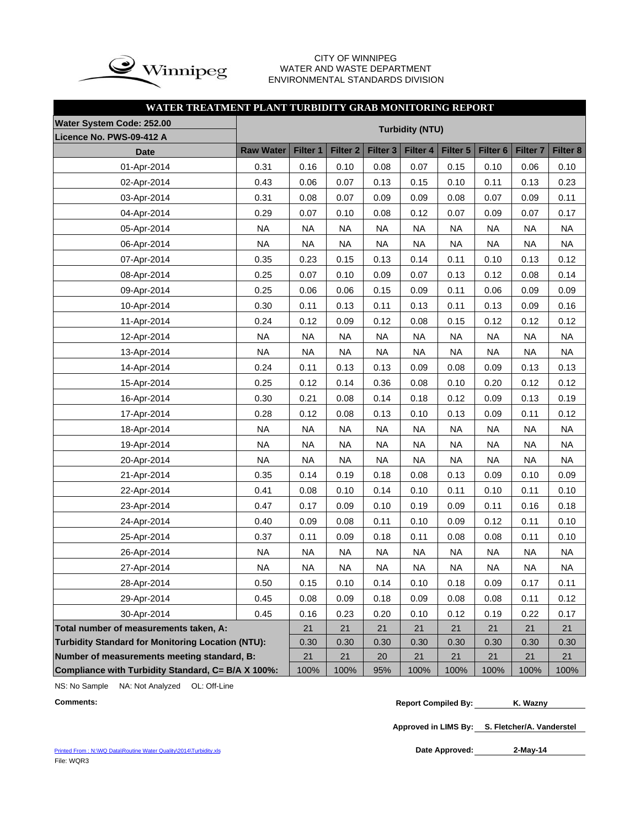

### CITY OF WINNIPEG WATER AND WASTE DEPARTMENT ENVIRONMENTAL STANDARDS DIVISION

## **WATER TREATMENT PLANT TURBIDITY GRAB MONITORING REPORT**

| Water System Code: 252.00                                | <b>Turbidity (NTU)</b> |           |                 |                 |           |           |                     |                     |           |  |  |  |  |  |
|----------------------------------------------------------|------------------------|-----------|-----------------|-----------------|-----------|-----------|---------------------|---------------------|-----------|--|--|--|--|--|
| Licence No. PWS-09-412 A                                 |                        |           |                 |                 |           |           |                     |                     |           |  |  |  |  |  |
| <b>Date</b>                                              | <b>Raw Water</b>       | Filter 1  | <b>Filter 2</b> | <b>Filter 3</b> | Filter 4  | Filter 5  | Filter <sub>6</sub> | Filter <sub>7</sub> | Filter 8  |  |  |  |  |  |
| 01-Apr-2014                                              | 0.31                   | 0.16      | 0.10            | 0.08            | 0.07      | 0.15      | 0.10                | 0.06                | 0.10      |  |  |  |  |  |
| 02-Apr-2014                                              | 0.43                   | 0.06      | 0.07            | 0.13            | 0.15      | 0.10      | 0.11                | 0.13                | 0.23      |  |  |  |  |  |
| 03-Apr-2014                                              | 0.31                   | 0.08      | 0.07            | 0.09            | 0.09      | 0.08      | 0.07                | 0.09                | 0.11      |  |  |  |  |  |
| 04-Apr-2014                                              | 0.29                   | 0.07      | 0.10            | 0.08            | 0.12      | 0.07      | 0.09                | 0.07                | 0.17      |  |  |  |  |  |
| 05-Apr-2014                                              | <b>NA</b>              | <b>NA</b> | <b>NA</b>       | <b>NA</b>       | <b>NA</b> | <b>NA</b> | <b>NA</b>           | <b>NA</b>           | <b>NA</b> |  |  |  |  |  |
| 06-Apr-2014                                              | <b>NA</b>              | <b>NA</b> | <b>NA</b>       | <b>NA</b>       | <b>NA</b> | <b>NA</b> | <b>NA</b>           | <b>NA</b>           | <b>NA</b> |  |  |  |  |  |
| 07-Apr-2014                                              | 0.35                   | 0.23      | 0.15            | 0.13            | 0.14      | 0.11      | 0.10                | 0.13                | 0.12      |  |  |  |  |  |
| 08-Apr-2014                                              | 0.25                   | 0.07      | 0.10            | 0.09            | 0.07      | 0.13      | 0.12                | 0.08                | 0.14      |  |  |  |  |  |
| 09-Apr-2014                                              | 0.25                   | 0.06      | 0.06            | 0.15            | 0.09      | 0.11      | 0.06                | 0.09                | 0.09      |  |  |  |  |  |
| 10-Apr-2014                                              | 0.30                   | 0.11      | 0.13            | 0.11            | 0.13      | 0.11      | 0.13                | 0.09                | 0.16      |  |  |  |  |  |
| 11-Apr-2014                                              | 0.24                   | 0.12      | 0.09            | 0.12            | 0.08      | 0.15      | 0.12                | 0.12                | 0.12      |  |  |  |  |  |
| 12-Apr-2014                                              | <b>NA</b>              | <b>NA</b> | <b>NA</b>       | <b>NA</b>       | <b>NA</b> | <b>NA</b> | <b>NA</b>           | <b>NA</b>           | <b>NA</b> |  |  |  |  |  |
| 13-Apr-2014                                              | <b>NA</b>              | <b>NA</b> | <b>NA</b>       | <b>NA</b>       | <b>NA</b> | <b>NA</b> | <b>NA</b>           | <b>NA</b>           | <b>NA</b> |  |  |  |  |  |
| 14-Apr-2014                                              | 0.24                   | 0.11      | 0.13            | 0.13            | 0.09      | 0.08      | 0.09                | 0.13                | 0.13      |  |  |  |  |  |
| 15-Apr-2014                                              | 0.25                   | 0.12      | 0.14            | 0.36            | 0.08      | 0.10      | 0.20                | 0.12                | 0.12      |  |  |  |  |  |
| 16-Apr-2014                                              | 0.30                   | 0.21      | 0.08            | 0.14            | 0.18      | 0.12      | 0.09                | 0.13                | 0.19      |  |  |  |  |  |
| 17-Apr-2014                                              | 0.28                   | 0.12      | 0.08            | 0.13            | 0.10      | 0.13      | 0.09                | 0.11                | 0.12      |  |  |  |  |  |
| 18-Apr-2014                                              | <b>NA</b>              | <b>NA</b> | <b>NA</b>       | <b>NA</b>       | <b>NA</b> | <b>NA</b> | <b>NA</b>           | <b>NA</b>           | <b>NA</b> |  |  |  |  |  |
| 19-Apr-2014                                              | <b>NA</b>              | <b>NA</b> | <b>NA</b>       | <b>NA</b>       | <b>NA</b> | <b>NA</b> | <b>NA</b>           | <b>NA</b>           | <b>NA</b> |  |  |  |  |  |
| 20-Apr-2014                                              | <b>NA</b>              | <b>NA</b> | <b>NA</b>       | <b>NA</b>       | <b>NA</b> | <b>NA</b> | <b>NA</b>           | <b>NA</b>           | <b>NA</b> |  |  |  |  |  |
| 21-Apr-2014                                              | 0.35                   | 0.14      | 0.19            | 0.18            | 0.08      | 0.13      | 0.09                | 0.10                | 0.09      |  |  |  |  |  |
| 22-Apr-2014                                              | 0.41                   | 0.08      | 0.10            | 0.14            | 0.10      | 0.11      | 0.10                | 0.11                | 0.10      |  |  |  |  |  |
| 23-Apr-2014                                              | 0.47                   | 0.17      | 0.09            | 0.10            | 0.19      | 0.09      | 0.11                | 0.16                | 0.18      |  |  |  |  |  |
| 24-Apr-2014                                              | 0.40                   | 0.09      | 0.08            | 0.11            | 0.10      | 0.09      | 0.12                | 0.11                | 0.10      |  |  |  |  |  |
| 25-Apr-2014                                              | 0.37                   | 0.11      | 0.09            | 0.18            | 0.11      | 0.08      | 0.08                | 0.11                | 0.10      |  |  |  |  |  |
| 26-Apr-2014                                              | <b>NA</b>              | <b>NA</b> | <b>NA</b>       | <b>NA</b>       | <b>NA</b> | <b>NA</b> | <b>NA</b>           | <b>NA</b>           | <b>NA</b> |  |  |  |  |  |
| 27-Apr-2014                                              | <b>NA</b>              | <b>NA</b> | <b>NA</b>       | <b>NA</b>       | <b>NA</b> | <b>NA</b> | <b>NA</b>           | <b>NA</b>           | <b>NA</b> |  |  |  |  |  |
| 28-Apr-2014                                              | 0.50                   | 0.15      | 0.10            | 0.14            | 0.10      | 0.18      | 0.09                | 0.17                | 0.11      |  |  |  |  |  |
| 29-Apr-2014                                              | 0.45                   | 0.08      | 0.09            | 0.18            | 0.09      | 0.08      | 0.08                | 0.11                | 0.12      |  |  |  |  |  |
| 30-Apr-2014                                              | 0.45                   | 0.16      | 0.23            | 0.20            | 0.10      | 0.12      | 0.19                | 0.22                | 0.17      |  |  |  |  |  |
| Total number of measurements taken, A:                   | 21                     | 21        | 21              | 21              | 21        | 21        | 21                  | 21                  |           |  |  |  |  |  |
| <b>Turbidity Standard for Monitoring Location (NTU):</b> | 0.30                   | 0.30      | 0.30            | 0.30            | 0.30      | 0.30      | 0.30                | 0.30                |           |  |  |  |  |  |
| Number of measurements meeting standard, B:              |                        | 21        | 21              | 20              | 21        | 21        | 21                  | 21                  | 21        |  |  |  |  |  |
| Compliance with Turbidity Standard, C= B/A X 100%:       |                        | 100%      | 100%            | 95%             | 100%      | 100%      | 100%                | 100%                | 100%      |  |  |  |  |  |

NS: No Sample NA: Not Analyzed OL: Off-Line

**Approved in LIMS By: S. Fletcher/A. Vanderstel**

Printed From : N:\WQ Data\Routine Water Quality\2014\Turbidity.xls File: WQR3

Date Approved: 2-May-14

**Comments: Report Compiled By: K. Wazny**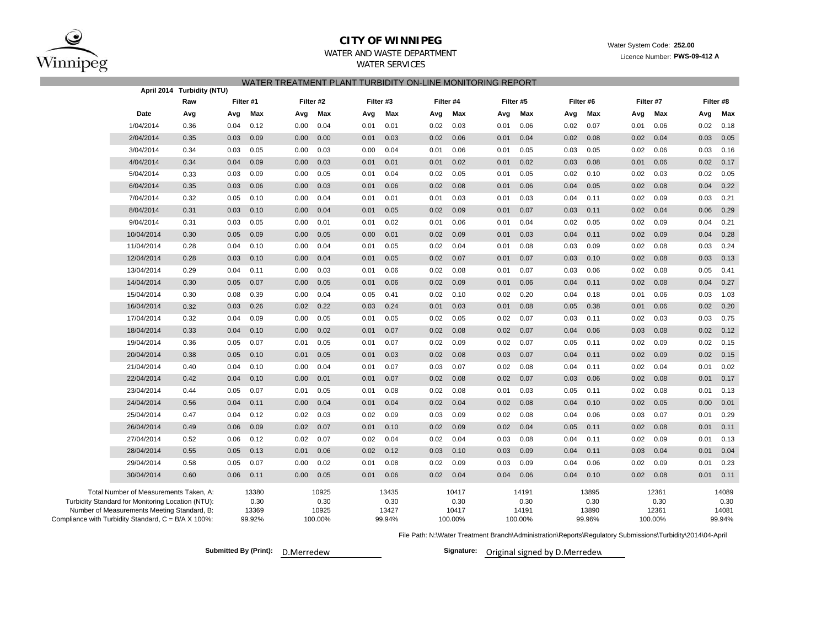

### **CITY OF WINNIPEG**WATER AND WASTE DEPARTMENT

## WATER TREATMENT PLANT TURBIDITY ON-LINE MONITORING REPORTWATER SERVICES

| April 2014 Turbidity (NTU)                                                                                                                                                                        |           |                        |                                   |                                  |         |                        |         |                        |           |                                  |           |                                   |      |                                  |
|---------------------------------------------------------------------------------------------------------------------------------------------------------------------------------------------------|-----------|------------------------|-----------------------------------|----------------------------------|---------|------------------------|---------|------------------------|-----------|----------------------------------|-----------|-----------------------------------|------|----------------------------------|
| Raw                                                                                                                                                                                               | Filter #1 |                        | Filter #2                         | Filter #3                        |         | Filter #5<br>Filter #4 |         |                        | Filter #6 |                                  | Filter #7 |                                   |      |                                  |
| Date<br>Avg                                                                                                                                                                                       | Avg       | Max<br>Avg             | Max<br>Avg                        | Max                              | Avg     | Max                    | Avg     | Max                    | Avg       | Max                              | Avg       | Max                               | Avg  | Max                              |
| 1/04/2014<br>0.36                                                                                                                                                                                 | 0.04      | 0.12<br>0.00           | 0.04<br>0.01                      | 0.01                             | 0.02    | 0.03                   | 0.01    | 0.06                   | 0.02      | 0.07                             | 0.01      | 0.06                              | 0.02 | 0.18                             |
| 2/04/2014<br>0.35                                                                                                                                                                                 | 0.03      | 0.09<br>0.00           | 0.00<br>0.01                      | 0.03                             | 0.02    | 0.06                   | 0.01    | 0.04                   | 0.02      | 0.08                             | 0.02      | 0.04                              | 0.03 | 0.05                             |
| 3/04/2014<br>0.34                                                                                                                                                                                 | 0.03      | 0.05<br>0.00           | 0.03<br>0.00                      | 0.04                             | 0.01    | 0.06                   | 0.01    | 0.05                   | 0.03      | 0.05                             | 0.02      | 0.06                              | 0.03 | 0.16                             |
| 4/04/2014<br>0.34                                                                                                                                                                                 | 0.04      | 0.09<br>0.00           | 0.03<br>0.01                      | 0.01                             | 0.01    | 0.02                   | 0.01    | 0.02                   | 0.03      | 0.08                             | 0.01      | 0.06                              | 0.02 | 0.17                             |
| 5/04/2014<br>0.33                                                                                                                                                                                 | 0.03      | 0.09<br>0.00           | 0.05<br>0.01                      | 0.04                             | 0.02    | 0.05                   | 0.01    | 0.05                   | 0.02      | 0.10                             | 0.02      | 0.03                              | 0.02 | 0.05                             |
| 6/04/2014<br>0.35                                                                                                                                                                                 | 0.03      | 0.06<br>0.00           | 0.03<br>0.01                      | 0.06                             | 0.02    | 0.08                   | 0.01    | 0.06                   | 0.04      | 0.05                             | 0.02      | 0.08                              | 0.04 | 0.22                             |
| 7/04/2014<br>0.32                                                                                                                                                                                 | 0.05      | 0.10<br>0.00           | 0.04<br>0.01                      | 0.01                             | 0.01    | 0.03                   | 0.01    | 0.03                   | 0.04      | 0.11                             | 0.02      | 0.09                              | 0.03 | 0.21                             |
| 8/04/2014<br>0.31                                                                                                                                                                                 | 0.03      | 0.10<br>0.00           | 0.04<br>0.01                      | 0.05                             | 0.02    | 0.09                   | 0.01    | 0.07                   | 0.03      | 0.11                             | 0.02      | 0.04                              | 0.06 | 0.29                             |
| 9/04/2014<br>0.31                                                                                                                                                                                 | 0.03      | 0.05<br>0.00           | 0.01<br>0.01                      | 0.02                             | 0.01    | 0.06                   | 0.01    | 0.04                   | 0.02      | 0.05                             | 0.02      | 0.09                              | 0.04 | 0.21                             |
| 10/04/2014<br>0.30                                                                                                                                                                                | 0.05      | 0.09<br>0.00           | 0.05<br>0.00                      | 0.01                             | 0.02    | 0.09                   | 0.01    | 0.03                   | 0.04      | 0.11                             | 0.02      | 0.09                              | 0.04 | 0.28                             |
| 11/04/2014<br>0.28                                                                                                                                                                                | 0.04      | 0.10<br>0.00           | 0.04<br>0.01                      | 0.05                             | 0.02    | 0.04                   | 0.01    | 0.08                   | 0.03      | 0.09                             | 0.02      | 0.08                              | 0.03 | 0.24                             |
| 12/04/2014<br>0.28                                                                                                                                                                                | 0.03      | 0.10<br>0.00           | 0.04<br>0.01                      | 0.05                             | 0.02    | 0.07                   | 0.01    | 0.07                   | 0.03      | 0.10                             | 0.02      | 0.08                              | 0.03 | 0.13                             |
| 13/04/2014<br>0.29                                                                                                                                                                                | 0.04      | 0.11<br>0.00           | 0.03<br>0.01                      | 0.06                             | 0.02    | 0.08                   | 0.01    | 0.07                   | 0.03      | 0.06                             | 0.02      | 0.08                              | 0.05 | 0.41                             |
| 14/04/2014<br>0.30                                                                                                                                                                                | 0.05      | 0.07<br>0.00           | 0.05<br>0.01                      | 0.06                             | 0.02    | 0.09                   | 0.01    | 0.06                   | 0.04      | 0.11                             | 0.02      | 0.08                              | 0.04 | 0.27                             |
| 15/04/2014<br>0.30                                                                                                                                                                                | 0.08      | 0.39<br>0.00           | 0.04<br>0.05                      | 0.41                             | 0.02    | 0.10                   | 0.02    | 0.20                   | 0.04      | 0.18                             | 0.01      | 0.06                              | 0.03 | 1.03                             |
| 16/04/2014<br>0.32                                                                                                                                                                                | 0.03      | 0.26<br>0.02           | 0.22<br>0.03                      | 0.24                             | 0.01    | 0.03                   | 0.01    | 0.08                   | 0.05      | 0.38                             | 0.01      | 0.06                              | 0.02 | 0.20                             |
| 17/04/2014<br>0.32                                                                                                                                                                                | 0.04      | 0.09<br>0.00           | 0.05<br>0.01                      | 0.05                             | 0.02    | 0.05                   | 0.02    | 0.07                   | 0.03      | 0.11                             | 0.02      | 0.03                              | 0.03 | 0.75                             |
| 18/04/2014<br>0.33                                                                                                                                                                                | 0.04      | 0.10<br>0.00           | 0.02<br>0.01                      | 0.07                             | 0.02    | 0.08                   | 0.02    | 0.07                   | 0.04      | 0.06                             | 0.03      | 0.08                              | 0.02 | 0.12                             |
| 19/04/2014<br>0.36                                                                                                                                                                                | 0.05      | 0.07<br>0.01           | 0.05<br>0.01                      | 0.07                             | 0.02    | 0.09                   | 0.02    | 0.07                   | 0.05      | 0.11                             | 0.02      | 0.09                              | 0.02 | 0.15                             |
| 20/04/2014<br>0.38                                                                                                                                                                                | 0.05      | 0.10<br>0.01           | 0.05<br>0.01                      | 0.03                             | 0.02    | 0.08                   | 0.03    | 0.07                   | 0.04      | 0.11                             | 0.02      | 0.09                              | 0.02 | 0.15                             |
| 21/04/2014<br>0.40                                                                                                                                                                                | 0.04      | 0.10<br>0.00           | 0.04<br>0.01                      | 0.07                             | 0.03    | 0.07                   | 0.02    | 0.08                   | 0.04      | 0.11                             | 0.02      | 0.04                              | 0.01 | 0.02                             |
| 22/04/2014<br>0.42                                                                                                                                                                                | 0.04      | 0.10<br>0.00           | 0.01<br>0.01                      | 0.07                             | 0.02    | 0.08                   | 0.02    | 0.07                   | 0.03      | 0.06                             | 0.02      | 0.08                              | 0.01 | 0.17                             |
| 23/04/2014<br>0.44                                                                                                                                                                                | 0.05      | 0.07<br>0.01           | 0.05<br>0.01                      | 0.08                             | 0.02    | 0.08                   | 0.01    | 0.03                   | 0.05      | 0.11                             | 0.02      | 0.08                              | 0.01 | 0.13                             |
| 24/04/2014<br>0.56                                                                                                                                                                                | 0.04      | 0.11<br>0.00           | 0.04<br>0.01                      | 0.04                             | 0.02    | 0.04                   | 0.02    | 0.08                   | 0.04      | 0.10                             | 0.02      | 0.05                              | 0.00 | 0.01                             |
| 25/04/2014<br>0.47                                                                                                                                                                                | 0.04      | 0.12<br>0.02           | 0.03<br>0.02                      | 0.09                             | 0.03    | 0.09                   | 0.02    | 0.08                   | 0.04      | 0.06                             | 0.03      | 0.07                              | 0.01 | 0.29                             |
| 26/04/2014<br>0.49                                                                                                                                                                                | 0.06      | 0.09<br>0.02           | 0.07<br>0.01                      | 0.10                             | 0.02    | 0.09                   | 0.02    | 0.04                   | 0.05      | 0.11                             | 0.02      | 0.08                              | 0.01 | 0.11                             |
| 27/04/2014<br>0.52                                                                                                                                                                                | 0.06      | 0.12<br>0.02           | 0.07<br>0.02                      | 0.04                             | 0.02    | 0.04                   | 0.03    | 0.08                   | 0.04      | 0.11                             | 0.02      | 0.09                              | 0.01 | 0.13                             |
| 28/04/2014<br>0.55                                                                                                                                                                                | 0.05      | 0.13<br>0.01           | 0.06<br>0.02                      | 0.12                             | 0.03    | 0.10                   | 0.03    | 0.09                   | 0.04      | 0.11                             | 0.03      | 0.04                              | 0.01 | 0.04                             |
| 0.58<br>29/04/2014                                                                                                                                                                                | 0.05      | 0.07<br>0.00           | 0.02<br>0.01                      | 0.08                             | 0.02    | 0.09                   | 0.03    | 0.09                   | 0.04      | 0.06                             | 0.02      | 0.09                              | 0.01 | 0.23                             |
| 30/04/2014<br>0.60                                                                                                                                                                                | 0.06      | 0.00<br>0.11           | 0.01<br>0.05                      | 0.06                             | 0.02    | 0.04                   | 0.04    | 0.06                   | 0.04      | 0.10                             | 0.02      | 0.08                              | 0.01 | 0.11                             |
| Total Number of Measurements Taken, A:<br>Turbidity Standard for Monitoring Location (NTU):<br>Number of Measurements Meeting Standard, B:<br>Compliance with Turbidity Standard, C = B/A X 100%: | 99.92%    | 13380<br>0.30<br>13369 | 10925<br>0.30<br>10925<br>100.00% | 13435<br>0.30<br>13427<br>99.94% | 100.00% | 10417<br>0.30<br>10417 | 100.00% | 14191<br>0.30<br>14191 |           | 13895<br>0.30<br>13890<br>99.96% |           | 12361<br>0.30<br>12361<br>100.00% |      | 14089<br>0.30<br>14081<br>99.94% |

File Path: N:\Water Treatment Branch\Administration\Reports\Regulatory Submissions\Turbidity\2014\04-April

**Submitted By (Print): Signature:** D.Merredew

Signature: Original signed by D.Merredew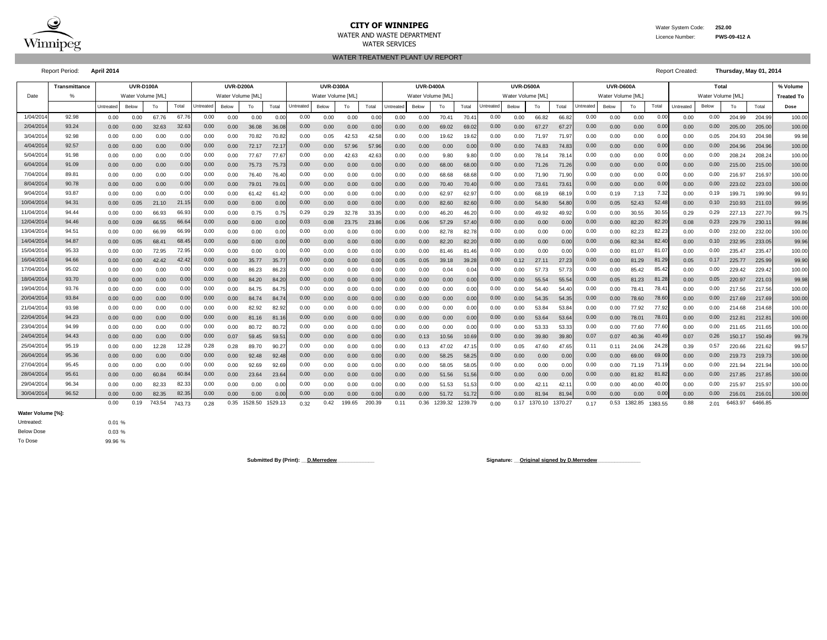

#### **CITY OF WINNIPEG** Water System Code: 252.00 WATER AND WASTE DEPARTMENT Licence Number: **PWS-09-412 A** WATER SERVICES

WATER TREATMENT PLANT UV REPORT

Report Period: **April 2014** Report Created: **Thursday, May 01, 2014**

| Water Volume [ML]<br>Date<br>Water Volume [ML]<br>Water Volume IML<br>Water Volume [ML]<br>Water Volume [ML]<br>Water Volume [ML]<br>Water Volume [ML]<br><b>Treated To</b><br>%<br>Total<br>Total<br>Untreated<br>Untreated<br>Total<br>Untreate<br>Untreated<br>Below<br>Untreated<br>To<br>Total<br>Total<br>Untreated<br>Below<br>Total<br>Below<br>Total<br>Below<br>To<br>Below<br>Below<br>To<br>Below<br>To<br>To<br>To<br>Untreated<br>To<br>Dose<br>1/04/201<br>92.98<br>67.7<br>0.00<br>0.00<br>0.00<br>0.00<br>0.00<br>0.00<br>67.76<br>70.41<br>66.82<br>204.99<br>0.00<br>0.00<br>0.00<br>0.00<br>0.00<br>0.00<br>0.00<br>70.4<br>0.00<br>66.82<br>0.00<br>0.00<br>0.00<br>204.99<br>0.00<br>0.00<br>0.0<br>93.24<br>2/04/201<br>32.63<br>0.00<br>0.00<br>0.00<br>32.63<br>0.00<br>36.08<br>0.00<br>0.00<br>69.02<br>$0.00\,$<br>0.00<br>0.00<br>0.00<br>0.00<br>0.00<br>205.00<br>205.00<br>0.00<br>0.00<br>36.08<br>0.00<br>0.00<br>69.0<br>67.27<br>67.27<br>0.00<br>0.00<br>3/04/2014<br>92.98<br>0.00<br>0.00<br>0.00<br>0.00<br>0.00<br>0.00<br>0.00<br>0.00<br>0.00<br>70.82<br>0.05<br>0.00<br>0.00<br>71.97<br>0.00<br>0.00<br>0.00<br>0.00<br>0.05<br>204.93<br>204.98<br>70.82<br>42.53<br>42.5<br>0.00<br>19.62<br>19.62<br>71.97<br>4/04/201<br>92.57<br>0.00<br>0.00<br>0.00<br>0.00<br>0.00<br>0.00<br>0.00<br>0.00<br>0.00<br>0.00<br>0.00<br>0.00<br>72.17<br>57.9<br>0.00<br>0.00<br>0.00<br>0.00<br>0.00<br>0.00<br>0.00<br>204.96<br>204.96<br>72.17<br>57.96<br>0.00<br>74.83<br>74.83<br>5/04/2014<br>91.98<br>0.00<br>0.00<br>0.00<br>0.00<br>0.00<br>0.00<br>0.00<br>0.00<br>0.00<br>0.00<br>77.67<br>77.67<br>0.00<br>0.00<br>0.00<br>9.80<br>0.00<br>78.14<br>0.00<br>0.00<br>0.00<br>208.24<br>42.63<br>42.6<br>9.80<br>78.14<br>0.00<br>208.24<br>91.09<br>6/04/201<br>0.00<br>0.00<br>0.00<br>0.00<br>0.00<br>0.00<br>$0.00\,$<br>0.00<br>0.00<br>0.00<br>0.00<br>0.00<br>0.00<br>0.00<br>75.73<br>75.73<br>0.0<br>0.00<br>0.00<br>68.00<br>68.0<br>0.00<br>71.26<br>71.2<br>0.00<br>0.00<br>215.00<br>215.00<br>7/04/2014<br>89.81<br>0.00<br>0.00<br>0.00<br>0.00<br>0.00<br>0.00<br>0.00<br>0.00<br>0.00<br>0.00<br>0.00<br>68.6<br>0.00<br>0.00<br>0.00<br>0.00<br>216.97<br>0.00<br>76.40<br>76.4<br>0.00<br>0.00<br>0.00<br>68.68<br>71.90<br>71.9<br>216.9<br>0.0<br>8/04/201<br>90.78<br>0.00<br>0.00<br>0.0(<br>0.00<br>0.00<br>0.00<br>0.00<br>0.00<br>79.01<br>0.00<br>0.00<br>0.00<br>73.61<br>0.00<br>0.00<br>0.00<br>223.02<br>223.03<br>0.00<br>0.00<br>79.0<br>0.0<br>0.00<br>0.00<br>70.40<br>70.4<br>73.6<br>0.00<br>9/04/201<br>93.87<br>0.00<br>0.00<br>0.00<br>7.32<br>0.19<br>0.00<br>0.00<br>0.0<br>0.00<br>0.00<br>0.00<br>62.97<br>62.9<br>0.00<br>68.19<br>0.19<br>7.13<br>0.00<br>199.71<br>199.90<br>0.00<br>0.00<br>61.42<br>61.42<br>0.00<br>0.00<br>68.1<br>0.0<br>94.31<br>10/04/201<br>0.00<br>0.00<br>$0.00\,$<br>0.00<br>52.4<br>0.10<br>21.15<br>0.00<br>0.05<br>21.10<br>0.00<br>0.00<br>0.00<br>0.00<br>0.00<br>82.60<br>82.6<br>0.00<br>54.80<br>0.05<br>52.43<br>0.00<br>210.93<br>211.03<br>0.00<br>0.00<br>0.00<br>54.80<br>94.44<br>0.29<br>0.00<br>11/04/2014<br>0.00<br>66.93<br>66.93<br>0.00<br>0.29<br>0.00<br>0.00<br>30.55<br>0.29<br>0.29<br>0.00<br>0.00<br>0.75<br>32.78<br>33.35<br>0.00<br>46.20<br>46.2<br>0.00<br>49.92<br>0.00<br>30.55<br>227.13<br>227.70<br>0.75<br>49.92<br>12/04/201<br>94.46<br>66.55<br>0.00<br>0.03<br>0.00<br>82.2<br>0.23<br>0.09<br>66.6<br>0.00<br>0.08<br>23.75<br>23.8<br>0.00<br>0.00<br>0.00<br>0.00<br>82.20<br>229.79<br>230.1<br>0.00<br>0.00<br>0.00<br>0.06<br>0.06<br>57.29<br>57.4<br>0.00<br>0.08<br>13/04/2014<br>94.51<br>0.00<br>0.00<br>0.00<br>82.23<br>66.99<br>0.00<br>0.00<br>0.00<br>66.99<br>82.78<br>82.7<br>82.23<br>232.00<br>232.00<br>0.00<br>0.00<br>0.00<br>0.00<br>0.00<br>0.00<br>0.00<br>0.00<br>0.00<br>0.00<br>0.00<br>0.00<br>0.00<br>0.0<br>94.87<br>14/04/201<br>68.45<br>0.00<br>0.00<br>0.00<br>0.00<br>82.4<br>0.05<br>68.4<br>0.00<br>0.00<br>0.00<br>0.0<br>82.20<br>82.2<br>0.00<br>0.00<br>0.00<br>82.34<br>0.10<br>232.95<br>233.05<br>0.00<br>0.00<br>0.00<br>0.00<br>0.00<br>0.06<br>0.00<br>15/04/201<br>95.33<br>0.00<br>72.95<br>72.95<br>0.00<br>0.00<br>0.00<br>0.00<br>0.00<br>81.0<br>0.00<br>235.4<br>0.00<br>0.00<br>0.00<br>0.00<br>0.00<br>0.00<br>0.00<br>0.00<br>0.00<br>0.00<br>81.07<br>0.00<br>235.47<br>0.0<br>0.0<br>81.46<br>81.4<br>16/04/201<br>94.66<br>42.4<br>0.00<br>0.00<br>$0.00\,$<br>0.00<br>0.17<br>42.42<br>81.2<br>0.00<br>0.00<br>0.00<br>35.77<br>35.77<br>0.00<br>0.00<br>0.00<br>0.05<br>0.05<br>39.18<br>39.2<br>0.12<br>27.11<br>27.2<br>0.00<br>81.29<br>0.05<br>225.77<br>225.99<br>17/04/2014<br>95.02<br>0.00<br>0.00<br>0.00<br>0.00<br>85.42<br>0.00<br>0.00<br>0.00<br>0.00<br>0.00<br>0.00<br>86.23<br>0.00<br>0.00<br>0.00<br>0.00<br>0.04<br>0.00<br>57.73<br>57.73<br>0.00<br>85.4<br>0.00<br>229.42<br>229.42<br>86.23<br>0.0<br>0.04<br>93.70<br>18/04/2014<br>0.00<br>0.00<br>0.00<br>0.00<br>0.00<br>0.00<br>0.00<br>$0.00\,$<br>0.00<br>0.00<br>0.05<br>0.00<br>0.00<br>84.20<br>84.20<br>0.00<br>0.00<br>0.00<br>55.54<br>55.54<br>0.05<br>81.23<br>81.28<br>0.00<br>220.97<br>221.03<br>0.00<br>0.00<br>19/04/2014<br>93.76<br>0.00<br>0.00<br>0.00<br>0.00<br>78.4<br>0.00<br>0.00<br>0.00<br>0.00<br>0.00<br>0.00<br>0.00<br>84.75<br>84.7<br>0.00<br>0.00<br>0.00<br>0.00<br>0.00<br>54.40<br>54.40<br>0.00<br>78.41<br>0.00<br>217.56<br>217.56<br>0.0<br>0.00<br>93.84<br>20/04/201<br>0.00<br>0.00<br>0.00<br>0.00<br>78.6<br>0.00<br>0.00<br>0.00<br>0.00<br>0.00<br>0.00<br>0.00<br>0.00<br>0.00<br>0.00<br>54.35<br>0.00<br>78.60<br>217.69<br>0.00<br>0.00<br>84.74<br>84.7<br>0.00<br>0.00<br>54.35<br>0.00<br>217.69<br>93.98<br>21/04/201<br>0.00<br>0.00<br>53.84<br>0.00<br>77.92<br>0.00<br>0.00<br>0.00<br>0.00<br>0.00<br>82.92<br>82.92<br>0.00<br>0.00<br>0.00<br>0.00<br>0.00<br>53.84<br>0.00<br>77.92<br>0.00<br>214.68<br>214.68<br>0.00<br>0.00<br>0.0<br>0.00<br>0.01<br>94.23<br>100.00<br>22/04/2014<br>0.00<br>0.00<br>0.00<br>0.00<br>0.00<br>0.00<br>0.00<br>0.00<br>0.00<br>0.00<br>53.64<br>0.00<br>0.00<br>78.01<br>78.0<br>0.00 <sub>1</sub><br>212.8<br>0.00<br>0.00<br>81.16<br>81.1<br>0.0<br>0.00<br>0.00<br>0.00<br>53.6<br>0.00<br>212.81<br>23/04/201<br>94.99<br>0.00<br>100.00<br>0.00<br>0.0<br>0.00<br>0.00<br>0.00<br>0.00<br>0.00<br>53.33<br>53.3<br>0.00<br>77.6<br>0.00<br>0.00<br>0.00<br>0.00<br>80.72<br>80.7<br>0.00<br>0.00<br>0.00<br>0.00<br>77.60<br>0.00<br>211.65<br>211.65<br>0.0<br>0.0<br>24/04/201<br>94.43<br>0.00<br>0.26<br>99.79<br>0.00<br>0.00<br>0.0<br>0.00<br>0.07<br>59.45<br>59.5'<br>0.00<br>0.00<br>0.13<br>10.56<br>$0.00\,$<br>0.00<br>39.80<br>39.80<br>0.07<br>0.07<br>40.36<br>40.4<br>0.07<br>150.17<br>150.49<br>0.00<br>0.00<br>0.00<br>10.6<br>95.19<br>25/04/2014<br>12.28<br>0.28<br>0.00<br>0.00<br>24.28<br>0.11<br>0.57<br>99.57<br>0.00<br>0.00<br>12.28<br>0.28<br>89.70<br>0.00<br>0.05<br>24.06<br>0.39<br>220.66<br>221.62<br>90.27<br>0.00<br>0.00<br>0.13<br>47.02<br>47.1<br>47.60<br>47.65<br>0.11<br>0.00<br>26/04/201<br>95.36<br>0.00<br>0.00<br>0.00<br>0.00<br>0.00<br>0.00<br>0.00<br>69.00<br>69.0<br>0.00<br>100.00<br>0.00<br>0.00<br>0.00<br>0.00<br>0.00<br>92.48<br>92.48<br>0.00<br>0.00<br>58.25<br>58.2<br>0.00<br>0.00<br>0.00<br>219.73<br>219.73<br>0.00<br>0.00<br>27/04/2014<br>95.45<br>0.00<br>0.00<br>0.00<br>0.00<br>100.00<br>0.00<br>0.00<br>0.00<br>0.00<br>0.00<br>92.69<br>92.69<br>0.00<br>0.00<br>0.00<br>0.00<br>58.05<br>58.0<br>0.00<br>0.00<br>0.00<br>71.19<br>0.00<br>221.94<br>221.94<br>0.00<br>0.00<br>0.00<br>71.19<br>28/04/201<br>95.61<br>60.8<br>0.00<br>0.00<br>0.00<br>100.00<br>60.84<br>0.00<br>23.64<br>23.64<br>0.00<br>0.00<br>0.00<br>0.00<br>0.00<br>81.82<br>81.82<br>217.85<br>0.00<br>0.00<br>0.00<br>0.00<br>0.00<br>0.00<br>51.56<br>51.5<br>0.00<br>0.00<br>0.00<br>217.85<br>29/04/2014<br>96.34<br>82.33<br>100.00<br>82.33<br>0.00<br>0.00<br>0.00<br>42.1<br>0.00<br>40.0<br>0.00<br>0.00<br>0.00<br>0.00<br>0.00<br>0.00<br>0.00<br>0.00<br>0.00<br>0.0<br>0.00<br>0.00<br>51.53<br>51.5<br>0.00<br>42.1<br>0.00<br>40.00<br>215.97<br>215.9<br>30/04/2014<br>96.52<br>82.35<br>0.00<br>0.00<br>0.00<br>0.00<br>0.00<br>100.00<br>0.00<br>82.35<br>0.00<br>0.00<br>0.00<br>0.00<br>0.00<br>0.00<br>0.00<br>0.00<br>216.01<br>216.0<br>0.00<br>0.00<br>0.00<br>0.00<br>0.00<br>51.72<br>51.7<br>81.94<br>0.00<br>81.94<br>0.17 1370.10 | Transmittance |      | <b>UVR-D100A</b> |        |        |      | <b>UVR-D200A</b> |         |         |      | <b>UVR-D300A</b> |        |        |      | <b>UVR-D400A</b> |         |         |      | <b>UVR-D500A</b> |         |      | UVR-D600A |         |         |      | Total |         |         | % Volume |
|-----------------------------------------------------------------------------------------------------------------------------------------------------------------------------------------------------------------------------------------------------------------------------------------------------------------------------------------------------------------------------------------------------------------------------------------------------------------------------------------------------------------------------------------------------------------------------------------------------------------------------------------------------------------------------------------------------------------------------------------------------------------------------------------------------------------------------------------------------------------------------------------------------------------------------------------------------------------------------------------------------------------------------------------------------------------------------------------------------------------------------------------------------------------------------------------------------------------------------------------------------------------------------------------------------------------------------------------------------------------------------------------------------------------------------------------------------------------------------------------------------------------------------------------------------------------------------------------------------------------------------------------------------------------------------------------------------------------------------------------------------------------------------------------------------------------------------------------------------------------------------------------------------------------------------------------------------------------------------------------------------------------------------------------------------------------------------------------------------------------------------------------------------------------------------------------------------------------------------------------------------------------------------------------------------------------------------------------------------------------------------------------------------------------------------------------------------------------------------------------------------------------------------------------------------------------------------------------------------------------------------------------------------------------------------------------------------------------------------------------------------------------------------------------------------------------------------------------------------------------------------------------------------------------------------------------------------------------------------------------------------------------------------------------------------------------------------------------------------------------------------------------------------------------------------------------------------------------------------------------------------------------------------------------------------------------------------------------------------------------------------------------------------------------------------------------------------------------------------------------------------------------------------------------------------------------------------------------------------------------------------------------------------------------------------------------------------------------------------------------------------------------------------------------------------------------------------------------------------------------------------------------------------------------------------------------------------------------------------------------------------------------------------------------------------------------------------------------------------------------------------------------------------------------------------------------------------------------------------------------------------------------------------------------------------------------------------------------------------------------------------------------------------------------------------------------------------------------------------------------------------------------------------------------------------------------------------------------------------------------------------------------------------------------------------------------------------------------------------------------------------------------------------------------------------------------------------------------------------------------------------------------------------------------------------------------------------------------------------------------------------------------------------------------------------------------------------------------------------------------------------------------------------------------------------------------------------------------------------------------------------------------------------------------------------------------------------------------------------------------------------------------------------------------------------------------------------------------------------------------------------------------------------------------------------------------------------------------------------------------------------------------------------------------------------------------------------------------------------------------------------------------------------------------------------------------------------------------------------------------------------------------------------------------------------------------------------------------------------------------------------------------------------------------------------------------------------------------------------------------------------------------------------------------------------------------------------------------------------------------------------------------------------------------------------------------------------------------------------------------------------------------------------------------------------------------------------------------------------------------------------------------------------------------------------------------------------------------------------------------------------------------------------------------------------------------------------------------------------------------------------------------------------------------------------------------------------------------------------------------------------------------------------------------------------------------------------------------------------------------------------------------------------------------------------------------------------------------------------------------------------------------------------------------------------------------------------------------------------------------------------------------------------------------------------------------------------------------------------------------------------------------------------------------------------------------------------------------------------------------------------------------------------------------------------------------------------------------------------------------------------------------------------------------------------------------------------------------------------------------------------------------------------------------------------------------------------------------------------------------------------------------------------------------------------------------------------------------------------------------------------------------------------------------------------------------------------------------------------------------------------------------------------------------------------------------------------------------------------------------------------------------------------------------------------------------------------------------------------------------------------------------------------------------------------------------------------------------------------------------------------------------------------------------------------|---------------|------|------------------|--------|--------|------|------------------|---------|---------|------|------------------|--------|--------|------|------------------|---------|---------|------|------------------|---------|------|-----------|---------|---------|------|-------|---------|---------|----------|
|                                                                                                                                                                                                                                                                                                                                                                                                                                                                                                                                                                                                                                                                                                                                                                                                                                                                                                                                                                                                                                                                                                                                                                                                                                                                                                                                                                                                                                                                                                                                                                                                                                                                                                                                                                                                                                                                                                                                                                                                                                                                                                                                                                                                                                                                                                                                                                                                                                                                                                                                                                                                                                                                                                                                                                                                                                                                                                                                                                                                                                                                                                                                                                                                                                                                                                                                                                                                                                                                                                                                                                                                                                                                                                                                                                                                                                                                                                                                                                                                                                                                                                                                                                                                                                                                                                                                                                                                                                                                                                                                                                                                                                                                                                                                                                                                                                                                                                                                                                                                                                                                                                                                                                                                                                                                                                                                                                                                                                                                                                                                                                                                                                                                                                                                                                                                                                                                                                                                                                                                                                                                                                                                                                                                                                                                                                                                                                                                                                                                                                                                                                                                                                                                                                                                                                                                                                                                                                                                                                                                                                                                                                                                                                                                                                                                                                                                                                                                                                                                                                                                                                                                                                                                                                                                                                                                                                                                                                                                                                                                                                                                                                                                                                                                                                                                                                                                                                                                                                                                                                                                                     |               |      |                  |        |        |      |                  |         |         |      |                  |        |        |      |                  |         |         |      |                  |         |      |           |         |         |      |       |         |         |          |
|                                                                                                                                                                                                                                                                                                                                                                                                                                                                                                                                                                                                                                                                                                                                                                                                                                                                                                                                                                                                                                                                                                                                                                                                                                                                                                                                                                                                                                                                                                                                                                                                                                                                                                                                                                                                                                                                                                                                                                                                                                                                                                                                                                                                                                                                                                                                                                                                                                                                                                                                                                                                                                                                                                                                                                                                                                                                                                                                                                                                                                                                                                                                                                                                                                                                                                                                                                                                                                                                                                                                                                                                                                                                                                                                                                                                                                                                                                                                                                                                                                                                                                                                                                                                                                                                                                                                                                                                                                                                                                                                                                                                                                                                                                                                                                                                                                                                                                                                                                                                                                                                                                                                                                                                                                                                                                                                                                                                                                                                                                                                                                                                                                                                                                                                                                                                                                                                                                                                                                                                                                                                                                                                                                                                                                                                                                                                                                                                                                                                                                                                                                                                                                                                                                                                                                                                                                                                                                                                                                                                                                                                                                                                                                                                                                                                                                                                                                                                                                                                                                                                                                                                                                                                                                                                                                                                                                                                                                                                                                                                                                                                                                                                                                                                                                                                                                                                                                                                                                                                                                                                                     |               |      |                  |        |        |      |                  |         |         |      |                  |        |        |      |                  |         |         |      |                  |         |      |           |         |         |      |       |         |         |          |
|                                                                                                                                                                                                                                                                                                                                                                                                                                                                                                                                                                                                                                                                                                                                                                                                                                                                                                                                                                                                                                                                                                                                                                                                                                                                                                                                                                                                                                                                                                                                                                                                                                                                                                                                                                                                                                                                                                                                                                                                                                                                                                                                                                                                                                                                                                                                                                                                                                                                                                                                                                                                                                                                                                                                                                                                                                                                                                                                                                                                                                                                                                                                                                                                                                                                                                                                                                                                                                                                                                                                                                                                                                                                                                                                                                                                                                                                                                                                                                                                                                                                                                                                                                                                                                                                                                                                                                                                                                                                                                                                                                                                                                                                                                                                                                                                                                                                                                                                                                                                                                                                                                                                                                                                                                                                                                                                                                                                                                                                                                                                                                                                                                                                                                                                                                                                                                                                                                                                                                                                                                                                                                                                                                                                                                                                                                                                                                                                                                                                                                                                                                                                                                                                                                                                                                                                                                                                                                                                                                                                                                                                                                                                                                                                                                                                                                                                                                                                                                                                                                                                                                                                                                                                                                                                                                                                                                                                                                                                                                                                                                                                                                                                                                                                                                                                                                                                                                                                                                                                                                                                                     |               |      |                  |        |        |      |                  |         |         |      |                  |        |        |      |                  |         |         |      |                  |         |      |           |         |         |      |       |         |         | 100.00   |
|                                                                                                                                                                                                                                                                                                                                                                                                                                                                                                                                                                                                                                                                                                                                                                                                                                                                                                                                                                                                                                                                                                                                                                                                                                                                                                                                                                                                                                                                                                                                                                                                                                                                                                                                                                                                                                                                                                                                                                                                                                                                                                                                                                                                                                                                                                                                                                                                                                                                                                                                                                                                                                                                                                                                                                                                                                                                                                                                                                                                                                                                                                                                                                                                                                                                                                                                                                                                                                                                                                                                                                                                                                                                                                                                                                                                                                                                                                                                                                                                                                                                                                                                                                                                                                                                                                                                                                                                                                                                                                                                                                                                                                                                                                                                                                                                                                                                                                                                                                                                                                                                                                                                                                                                                                                                                                                                                                                                                                                                                                                                                                                                                                                                                                                                                                                                                                                                                                                                                                                                                                                                                                                                                                                                                                                                                                                                                                                                                                                                                                                                                                                                                                                                                                                                                                                                                                                                                                                                                                                                                                                                                                                                                                                                                                                                                                                                                                                                                                                                                                                                                                                                                                                                                                                                                                                                                                                                                                                                                                                                                                                                                                                                                                                                                                                                                                                                                                                                                                                                                                                                                     |               |      |                  |        |        |      |                  |         |         |      |                  |        |        |      |                  |         |         |      |                  |         |      |           |         |         |      |       |         |         | 100.00   |
|                                                                                                                                                                                                                                                                                                                                                                                                                                                                                                                                                                                                                                                                                                                                                                                                                                                                                                                                                                                                                                                                                                                                                                                                                                                                                                                                                                                                                                                                                                                                                                                                                                                                                                                                                                                                                                                                                                                                                                                                                                                                                                                                                                                                                                                                                                                                                                                                                                                                                                                                                                                                                                                                                                                                                                                                                                                                                                                                                                                                                                                                                                                                                                                                                                                                                                                                                                                                                                                                                                                                                                                                                                                                                                                                                                                                                                                                                                                                                                                                                                                                                                                                                                                                                                                                                                                                                                                                                                                                                                                                                                                                                                                                                                                                                                                                                                                                                                                                                                                                                                                                                                                                                                                                                                                                                                                                                                                                                                                                                                                                                                                                                                                                                                                                                                                                                                                                                                                                                                                                                                                                                                                                                                                                                                                                                                                                                                                                                                                                                                                                                                                                                                                                                                                                                                                                                                                                                                                                                                                                                                                                                                                                                                                                                                                                                                                                                                                                                                                                                                                                                                                                                                                                                                                                                                                                                                                                                                                                                                                                                                                                                                                                                                                                                                                                                                                                                                                                                                                                                                                                                     |               |      |                  |        |        |      |                  |         |         |      |                  |        |        |      |                  |         |         |      |                  |         |      |           |         |         |      |       |         |         | 99.98    |
|                                                                                                                                                                                                                                                                                                                                                                                                                                                                                                                                                                                                                                                                                                                                                                                                                                                                                                                                                                                                                                                                                                                                                                                                                                                                                                                                                                                                                                                                                                                                                                                                                                                                                                                                                                                                                                                                                                                                                                                                                                                                                                                                                                                                                                                                                                                                                                                                                                                                                                                                                                                                                                                                                                                                                                                                                                                                                                                                                                                                                                                                                                                                                                                                                                                                                                                                                                                                                                                                                                                                                                                                                                                                                                                                                                                                                                                                                                                                                                                                                                                                                                                                                                                                                                                                                                                                                                                                                                                                                                                                                                                                                                                                                                                                                                                                                                                                                                                                                                                                                                                                                                                                                                                                                                                                                                                                                                                                                                                                                                                                                                                                                                                                                                                                                                                                                                                                                                                                                                                                                                                                                                                                                                                                                                                                                                                                                                                                                                                                                                                                                                                                                                                                                                                                                                                                                                                                                                                                                                                                                                                                                                                                                                                                                                                                                                                                                                                                                                                                                                                                                                                                                                                                                                                                                                                                                                                                                                                                                                                                                                                                                                                                                                                                                                                                                                                                                                                                                                                                                                                                                     |               |      |                  |        |        |      |                  |         |         |      |                  |        |        |      |                  |         |         |      |                  |         |      |           |         |         |      |       |         |         | 100.00   |
|                                                                                                                                                                                                                                                                                                                                                                                                                                                                                                                                                                                                                                                                                                                                                                                                                                                                                                                                                                                                                                                                                                                                                                                                                                                                                                                                                                                                                                                                                                                                                                                                                                                                                                                                                                                                                                                                                                                                                                                                                                                                                                                                                                                                                                                                                                                                                                                                                                                                                                                                                                                                                                                                                                                                                                                                                                                                                                                                                                                                                                                                                                                                                                                                                                                                                                                                                                                                                                                                                                                                                                                                                                                                                                                                                                                                                                                                                                                                                                                                                                                                                                                                                                                                                                                                                                                                                                                                                                                                                                                                                                                                                                                                                                                                                                                                                                                                                                                                                                                                                                                                                                                                                                                                                                                                                                                                                                                                                                                                                                                                                                                                                                                                                                                                                                                                                                                                                                                                                                                                                                                                                                                                                                                                                                                                                                                                                                                                                                                                                                                                                                                                                                                                                                                                                                                                                                                                                                                                                                                                                                                                                                                                                                                                                                                                                                                                                                                                                                                                                                                                                                                                                                                                                                                                                                                                                                                                                                                                                                                                                                                                                                                                                                                                                                                                                                                                                                                                                                                                                                                                                     |               |      |                  |        |        |      |                  |         |         |      |                  |        |        |      |                  |         |         |      |                  |         |      |           |         |         |      |       |         |         | 100.00   |
|                                                                                                                                                                                                                                                                                                                                                                                                                                                                                                                                                                                                                                                                                                                                                                                                                                                                                                                                                                                                                                                                                                                                                                                                                                                                                                                                                                                                                                                                                                                                                                                                                                                                                                                                                                                                                                                                                                                                                                                                                                                                                                                                                                                                                                                                                                                                                                                                                                                                                                                                                                                                                                                                                                                                                                                                                                                                                                                                                                                                                                                                                                                                                                                                                                                                                                                                                                                                                                                                                                                                                                                                                                                                                                                                                                                                                                                                                                                                                                                                                                                                                                                                                                                                                                                                                                                                                                                                                                                                                                                                                                                                                                                                                                                                                                                                                                                                                                                                                                                                                                                                                                                                                                                                                                                                                                                                                                                                                                                                                                                                                                                                                                                                                                                                                                                                                                                                                                                                                                                                                                                                                                                                                                                                                                                                                                                                                                                                                                                                                                                                                                                                                                                                                                                                                                                                                                                                                                                                                                                                                                                                                                                                                                                                                                                                                                                                                                                                                                                                                                                                                                                                                                                                                                                                                                                                                                                                                                                                                                                                                                                                                                                                                                                                                                                                                                                                                                                                                                                                                                                                                     |               |      |                  |        |        |      |                  |         |         |      |                  |        |        |      |                  |         |         |      |                  |         |      |           |         |         |      |       |         |         | 100.00   |
|                                                                                                                                                                                                                                                                                                                                                                                                                                                                                                                                                                                                                                                                                                                                                                                                                                                                                                                                                                                                                                                                                                                                                                                                                                                                                                                                                                                                                                                                                                                                                                                                                                                                                                                                                                                                                                                                                                                                                                                                                                                                                                                                                                                                                                                                                                                                                                                                                                                                                                                                                                                                                                                                                                                                                                                                                                                                                                                                                                                                                                                                                                                                                                                                                                                                                                                                                                                                                                                                                                                                                                                                                                                                                                                                                                                                                                                                                                                                                                                                                                                                                                                                                                                                                                                                                                                                                                                                                                                                                                                                                                                                                                                                                                                                                                                                                                                                                                                                                                                                                                                                                                                                                                                                                                                                                                                                                                                                                                                                                                                                                                                                                                                                                                                                                                                                                                                                                                                                                                                                                                                                                                                                                                                                                                                                                                                                                                                                                                                                                                                                                                                                                                                                                                                                                                                                                                                                                                                                                                                                                                                                                                                                                                                                                                                                                                                                                                                                                                                                                                                                                                                                                                                                                                                                                                                                                                                                                                                                                                                                                                                                                                                                                                                                                                                                                                                                                                                                                                                                                                                                                     |               |      |                  |        |        |      |                  |         |         |      |                  |        |        |      |                  |         |         |      |                  |         |      |           |         |         |      |       |         |         | 100.00   |
|                                                                                                                                                                                                                                                                                                                                                                                                                                                                                                                                                                                                                                                                                                                                                                                                                                                                                                                                                                                                                                                                                                                                                                                                                                                                                                                                                                                                                                                                                                                                                                                                                                                                                                                                                                                                                                                                                                                                                                                                                                                                                                                                                                                                                                                                                                                                                                                                                                                                                                                                                                                                                                                                                                                                                                                                                                                                                                                                                                                                                                                                                                                                                                                                                                                                                                                                                                                                                                                                                                                                                                                                                                                                                                                                                                                                                                                                                                                                                                                                                                                                                                                                                                                                                                                                                                                                                                                                                                                                                                                                                                                                                                                                                                                                                                                                                                                                                                                                                                                                                                                                                                                                                                                                                                                                                                                                                                                                                                                                                                                                                                                                                                                                                                                                                                                                                                                                                                                                                                                                                                                                                                                                                                                                                                                                                                                                                                                                                                                                                                                                                                                                                                                                                                                                                                                                                                                                                                                                                                                                                                                                                                                                                                                                                                                                                                                                                                                                                                                                                                                                                                                                                                                                                                                                                                                                                                                                                                                                                                                                                                                                                                                                                                                                                                                                                                                                                                                                                                                                                                                                                     |               |      |                  |        |        |      |                  |         |         |      |                  |        |        |      |                  |         |         |      |                  |         |      |           |         |         |      |       |         |         | 100.00   |
|                                                                                                                                                                                                                                                                                                                                                                                                                                                                                                                                                                                                                                                                                                                                                                                                                                                                                                                                                                                                                                                                                                                                                                                                                                                                                                                                                                                                                                                                                                                                                                                                                                                                                                                                                                                                                                                                                                                                                                                                                                                                                                                                                                                                                                                                                                                                                                                                                                                                                                                                                                                                                                                                                                                                                                                                                                                                                                                                                                                                                                                                                                                                                                                                                                                                                                                                                                                                                                                                                                                                                                                                                                                                                                                                                                                                                                                                                                                                                                                                                                                                                                                                                                                                                                                                                                                                                                                                                                                                                                                                                                                                                                                                                                                                                                                                                                                                                                                                                                                                                                                                                                                                                                                                                                                                                                                                                                                                                                                                                                                                                                                                                                                                                                                                                                                                                                                                                                                                                                                                                                                                                                                                                                                                                                                                                                                                                                                                                                                                                                                                                                                                                                                                                                                                                                                                                                                                                                                                                                                                                                                                                                                                                                                                                                                                                                                                                                                                                                                                                                                                                                                                                                                                                                                                                                                                                                                                                                                                                                                                                                                                                                                                                                                                                                                                                                                                                                                                                                                                                                                                                     |               |      |                  |        |        |      |                  |         |         |      |                  |        |        |      |                  |         |         |      |                  |         |      |           |         |         |      |       |         |         | 99.91    |
|                                                                                                                                                                                                                                                                                                                                                                                                                                                                                                                                                                                                                                                                                                                                                                                                                                                                                                                                                                                                                                                                                                                                                                                                                                                                                                                                                                                                                                                                                                                                                                                                                                                                                                                                                                                                                                                                                                                                                                                                                                                                                                                                                                                                                                                                                                                                                                                                                                                                                                                                                                                                                                                                                                                                                                                                                                                                                                                                                                                                                                                                                                                                                                                                                                                                                                                                                                                                                                                                                                                                                                                                                                                                                                                                                                                                                                                                                                                                                                                                                                                                                                                                                                                                                                                                                                                                                                                                                                                                                                                                                                                                                                                                                                                                                                                                                                                                                                                                                                                                                                                                                                                                                                                                                                                                                                                                                                                                                                                                                                                                                                                                                                                                                                                                                                                                                                                                                                                                                                                                                                                                                                                                                                                                                                                                                                                                                                                                                                                                                                                                                                                                                                                                                                                                                                                                                                                                                                                                                                                                                                                                                                                                                                                                                                                                                                                                                                                                                                                                                                                                                                                                                                                                                                                                                                                                                                                                                                                                                                                                                                                                                                                                                                                                                                                                                                                                                                                                                                                                                                                                                     |               |      |                  |        |        |      |                  |         |         |      |                  |        |        |      |                  |         |         |      |                  |         |      |           |         |         |      |       |         |         | 99.95    |
|                                                                                                                                                                                                                                                                                                                                                                                                                                                                                                                                                                                                                                                                                                                                                                                                                                                                                                                                                                                                                                                                                                                                                                                                                                                                                                                                                                                                                                                                                                                                                                                                                                                                                                                                                                                                                                                                                                                                                                                                                                                                                                                                                                                                                                                                                                                                                                                                                                                                                                                                                                                                                                                                                                                                                                                                                                                                                                                                                                                                                                                                                                                                                                                                                                                                                                                                                                                                                                                                                                                                                                                                                                                                                                                                                                                                                                                                                                                                                                                                                                                                                                                                                                                                                                                                                                                                                                                                                                                                                                                                                                                                                                                                                                                                                                                                                                                                                                                                                                                                                                                                                                                                                                                                                                                                                                                                                                                                                                                                                                                                                                                                                                                                                                                                                                                                                                                                                                                                                                                                                                                                                                                                                                                                                                                                                                                                                                                                                                                                                                                                                                                                                                                                                                                                                                                                                                                                                                                                                                                                                                                                                                                                                                                                                                                                                                                                                                                                                                                                                                                                                                                                                                                                                                                                                                                                                                                                                                                                                                                                                                                                                                                                                                                                                                                                                                                                                                                                                                                                                                                                                     |               |      |                  |        |        |      |                  |         |         |      |                  |        |        |      |                  |         |         |      |                  |         |      |           |         |         |      |       |         |         | 99.75    |
|                                                                                                                                                                                                                                                                                                                                                                                                                                                                                                                                                                                                                                                                                                                                                                                                                                                                                                                                                                                                                                                                                                                                                                                                                                                                                                                                                                                                                                                                                                                                                                                                                                                                                                                                                                                                                                                                                                                                                                                                                                                                                                                                                                                                                                                                                                                                                                                                                                                                                                                                                                                                                                                                                                                                                                                                                                                                                                                                                                                                                                                                                                                                                                                                                                                                                                                                                                                                                                                                                                                                                                                                                                                                                                                                                                                                                                                                                                                                                                                                                                                                                                                                                                                                                                                                                                                                                                                                                                                                                                                                                                                                                                                                                                                                                                                                                                                                                                                                                                                                                                                                                                                                                                                                                                                                                                                                                                                                                                                                                                                                                                                                                                                                                                                                                                                                                                                                                                                                                                                                                                                                                                                                                                                                                                                                                                                                                                                                                                                                                                                                                                                                                                                                                                                                                                                                                                                                                                                                                                                                                                                                                                                                                                                                                                                                                                                                                                                                                                                                                                                                                                                                                                                                                                                                                                                                                                                                                                                                                                                                                                                                                                                                                                                                                                                                                                                                                                                                                                                                                                                                                     |               |      |                  |        |        |      |                  |         |         |      |                  |        |        |      |                  |         |         |      |                  |         |      |           |         |         |      |       |         |         | 99.86    |
|                                                                                                                                                                                                                                                                                                                                                                                                                                                                                                                                                                                                                                                                                                                                                                                                                                                                                                                                                                                                                                                                                                                                                                                                                                                                                                                                                                                                                                                                                                                                                                                                                                                                                                                                                                                                                                                                                                                                                                                                                                                                                                                                                                                                                                                                                                                                                                                                                                                                                                                                                                                                                                                                                                                                                                                                                                                                                                                                                                                                                                                                                                                                                                                                                                                                                                                                                                                                                                                                                                                                                                                                                                                                                                                                                                                                                                                                                                                                                                                                                                                                                                                                                                                                                                                                                                                                                                                                                                                                                                                                                                                                                                                                                                                                                                                                                                                                                                                                                                                                                                                                                                                                                                                                                                                                                                                                                                                                                                                                                                                                                                                                                                                                                                                                                                                                                                                                                                                                                                                                                                                                                                                                                                                                                                                                                                                                                                                                                                                                                                                                                                                                                                                                                                                                                                                                                                                                                                                                                                                                                                                                                                                                                                                                                                                                                                                                                                                                                                                                                                                                                                                                                                                                                                                                                                                                                                                                                                                                                                                                                                                                                                                                                                                                                                                                                                                                                                                                                                                                                                                                                     |               |      |                  |        |        |      |                  |         |         |      |                  |        |        |      |                  |         |         |      |                  |         |      |           |         |         |      |       |         |         | 100.00   |
|                                                                                                                                                                                                                                                                                                                                                                                                                                                                                                                                                                                                                                                                                                                                                                                                                                                                                                                                                                                                                                                                                                                                                                                                                                                                                                                                                                                                                                                                                                                                                                                                                                                                                                                                                                                                                                                                                                                                                                                                                                                                                                                                                                                                                                                                                                                                                                                                                                                                                                                                                                                                                                                                                                                                                                                                                                                                                                                                                                                                                                                                                                                                                                                                                                                                                                                                                                                                                                                                                                                                                                                                                                                                                                                                                                                                                                                                                                                                                                                                                                                                                                                                                                                                                                                                                                                                                                                                                                                                                                                                                                                                                                                                                                                                                                                                                                                                                                                                                                                                                                                                                                                                                                                                                                                                                                                                                                                                                                                                                                                                                                                                                                                                                                                                                                                                                                                                                                                                                                                                                                                                                                                                                                                                                                                                                                                                                                                                                                                                                                                                                                                                                                                                                                                                                                                                                                                                                                                                                                                                                                                                                                                                                                                                                                                                                                                                                                                                                                                                                                                                                                                                                                                                                                                                                                                                                                                                                                                                                                                                                                                                                                                                                                                                                                                                                                                                                                                                                                                                                                                                                     |               |      |                  |        |        |      |                  |         |         |      |                  |        |        |      |                  |         |         |      |                  |         |      |           |         |         |      |       |         |         | 99.96    |
|                                                                                                                                                                                                                                                                                                                                                                                                                                                                                                                                                                                                                                                                                                                                                                                                                                                                                                                                                                                                                                                                                                                                                                                                                                                                                                                                                                                                                                                                                                                                                                                                                                                                                                                                                                                                                                                                                                                                                                                                                                                                                                                                                                                                                                                                                                                                                                                                                                                                                                                                                                                                                                                                                                                                                                                                                                                                                                                                                                                                                                                                                                                                                                                                                                                                                                                                                                                                                                                                                                                                                                                                                                                                                                                                                                                                                                                                                                                                                                                                                                                                                                                                                                                                                                                                                                                                                                                                                                                                                                                                                                                                                                                                                                                                                                                                                                                                                                                                                                                                                                                                                                                                                                                                                                                                                                                                                                                                                                                                                                                                                                                                                                                                                                                                                                                                                                                                                                                                                                                                                                                                                                                                                                                                                                                                                                                                                                                                                                                                                                                                                                                                                                                                                                                                                                                                                                                                                                                                                                                                                                                                                                                                                                                                                                                                                                                                                                                                                                                                                                                                                                                                                                                                                                                                                                                                                                                                                                                                                                                                                                                                                                                                                                                                                                                                                                                                                                                                                                                                                                                                                     |               |      |                  |        |        |      |                  |         |         |      |                  |        |        |      |                  |         |         |      |                  |         |      |           |         |         |      |       |         |         | 100.00   |
|                                                                                                                                                                                                                                                                                                                                                                                                                                                                                                                                                                                                                                                                                                                                                                                                                                                                                                                                                                                                                                                                                                                                                                                                                                                                                                                                                                                                                                                                                                                                                                                                                                                                                                                                                                                                                                                                                                                                                                                                                                                                                                                                                                                                                                                                                                                                                                                                                                                                                                                                                                                                                                                                                                                                                                                                                                                                                                                                                                                                                                                                                                                                                                                                                                                                                                                                                                                                                                                                                                                                                                                                                                                                                                                                                                                                                                                                                                                                                                                                                                                                                                                                                                                                                                                                                                                                                                                                                                                                                                                                                                                                                                                                                                                                                                                                                                                                                                                                                                                                                                                                                                                                                                                                                                                                                                                                                                                                                                                                                                                                                                                                                                                                                                                                                                                                                                                                                                                                                                                                                                                                                                                                                                                                                                                                                                                                                                                                                                                                                                                                                                                                                                                                                                                                                                                                                                                                                                                                                                                                                                                                                                                                                                                                                                                                                                                                                                                                                                                                                                                                                                                                                                                                                                                                                                                                                                                                                                                                                                                                                                                                                                                                                                                                                                                                                                                                                                                                                                                                                                                                                     |               |      |                  |        |        |      |                  |         |         |      |                  |        |        |      |                  |         |         |      |                  |         |      |           |         |         |      |       |         |         | 99.90    |
|                                                                                                                                                                                                                                                                                                                                                                                                                                                                                                                                                                                                                                                                                                                                                                                                                                                                                                                                                                                                                                                                                                                                                                                                                                                                                                                                                                                                                                                                                                                                                                                                                                                                                                                                                                                                                                                                                                                                                                                                                                                                                                                                                                                                                                                                                                                                                                                                                                                                                                                                                                                                                                                                                                                                                                                                                                                                                                                                                                                                                                                                                                                                                                                                                                                                                                                                                                                                                                                                                                                                                                                                                                                                                                                                                                                                                                                                                                                                                                                                                                                                                                                                                                                                                                                                                                                                                                                                                                                                                                                                                                                                                                                                                                                                                                                                                                                                                                                                                                                                                                                                                                                                                                                                                                                                                                                                                                                                                                                                                                                                                                                                                                                                                                                                                                                                                                                                                                                                                                                                                                                                                                                                                                                                                                                                                                                                                                                                                                                                                                                                                                                                                                                                                                                                                                                                                                                                                                                                                                                                                                                                                                                                                                                                                                                                                                                                                                                                                                                                                                                                                                                                                                                                                                                                                                                                                                                                                                                                                                                                                                                                                                                                                                                                                                                                                                                                                                                                                                                                                                                                                     |               |      |                  |        |        |      |                  |         |         |      |                  |        |        |      |                  |         |         |      |                  |         |      |           |         |         |      |       |         |         | 100.00   |
|                                                                                                                                                                                                                                                                                                                                                                                                                                                                                                                                                                                                                                                                                                                                                                                                                                                                                                                                                                                                                                                                                                                                                                                                                                                                                                                                                                                                                                                                                                                                                                                                                                                                                                                                                                                                                                                                                                                                                                                                                                                                                                                                                                                                                                                                                                                                                                                                                                                                                                                                                                                                                                                                                                                                                                                                                                                                                                                                                                                                                                                                                                                                                                                                                                                                                                                                                                                                                                                                                                                                                                                                                                                                                                                                                                                                                                                                                                                                                                                                                                                                                                                                                                                                                                                                                                                                                                                                                                                                                                                                                                                                                                                                                                                                                                                                                                                                                                                                                                                                                                                                                                                                                                                                                                                                                                                                                                                                                                                                                                                                                                                                                                                                                                                                                                                                                                                                                                                                                                                                                                                                                                                                                                                                                                                                                                                                                                                                                                                                                                                                                                                                                                                                                                                                                                                                                                                                                                                                                                                                                                                                                                                                                                                                                                                                                                                                                                                                                                                                                                                                                                                                                                                                                                                                                                                                                                                                                                                                                                                                                                                                                                                                                                                                                                                                                                                                                                                                                                                                                                                                                     |               |      |                  |        |        |      |                  |         |         |      |                  |        |        |      |                  |         |         |      |                  |         |      |           |         |         |      |       |         |         | 99.98    |
|                                                                                                                                                                                                                                                                                                                                                                                                                                                                                                                                                                                                                                                                                                                                                                                                                                                                                                                                                                                                                                                                                                                                                                                                                                                                                                                                                                                                                                                                                                                                                                                                                                                                                                                                                                                                                                                                                                                                                                                                                                                                                                                                                                                                                                                                                                                                                                                                                                                                                                                                                                                                                                                                                                                                                                                                                                                                                                                                                                                                                                                                                                                                                                                                                                                                                                                                                                                                                                                                                                                                                                                                                                                                                                                                                                                                                                                                                                                                                                                                                                                                                                                                                                                                                                                                                                                                                                                                                                                                                                                                                                                                                                                                                                                                                                                                                                                                                                                                                                                                                                                                                                                                                                                                                                                                                                                                                                                                                                                                                                                                                                                                                                                                                                                                                                                                                                                                                                                                                                                                                                                                                                                                                                                                                                                                                                                                                                                                                                                                                                                                                                                                                                                                                                                                                                                                                                                                                                                                                                                                                                                                                                                                                                                                                                                                                                                                                                                                                                                                                                                                                                                                                                                                                                                                                                                                                                                                                                                                                                                                                                                                                                                                                                                                                                                                                                                                                                                                                                                                                                                                                     |               |      |                  |        |        |      |                  |         |         |      |                  |        |        |      |                  |         |         |      |                  |         |      |           |         |         |      |       |         |         | 100.00   |
|                                                                                                                                                                                                                                                                                                                                                                                                                                                                                                                                                                                                                                                                                                                                                                                                                                                                                                                                                                                                                                                                                                                                                                                                                                                                                                                                                                                                                                                                                                                                                                                                                                                                                                                                                                                                                                                                                                                                                                                                                                                                                                                                                                                                                                                                                                                                                                                                                                                                                                                                                                                                                                                                                                                                                                                                                                                                                                                                                                                                                                                                                                                                                                                                                                                                                                                                                                                                                                                                                                                                                                                                                                                                                                                                                                                                                                                                                                                                                                                                                                                                                                                                                                                                                                                                                                                                                                                                                                                                                                                                                                                                                                                                                                                                                                                                                                                                                                                                                                                                                                                                                                                                                                                                                                                                                                                                                                                                                                                                                                                                                                                                                                                                                                                                                                                                                                                                                                                                                                                                                                                                                                                                                                                                                                                                                                                                                                                                                                                                                                                                                                                                                                                                                                                                                                                                                                                                                                                                                                                                                                                                                                                                                                                                                                                                                                                                                                                                                                                                                                                                                                                                                                                                                                                                                                                                                                                                                                                                                                                                                                                                                                                                                                                                                                                                                                                                                                                                                                                                                                                                                     |               |      |                  |        |        |      |                  |         |         |      |                  |        |        |      |                  |         |         |      |                  |         |      |           |         |         |      |       |         |         | 100.00   |
|                                                                                                                                                                                                                                                                                                                                                                                                                                                                                                                                                                                                                                                                                                                                                                                                                                                                                                                                                                                                                                                                                                                                                                                                                                                                                                                                                                                                                                                                                                                                                                                                                                                                                                                                                                                                                                                                                                                                                                                                                                                                                                                                                                                                                                                                                                                                                                                                                                                                                                                                                                                                                                                                                                                                                                                                                                                                                                                                                                                                                                                                                                                                                                                                                                                                                                                                                                                                                                                                                                                                                                                                                                                                                                                                                                                                                                                                                                                                                                                                                                                                                                                                                                                                                                                                                                                                                                                                                                                                                                                                                                                                                                                                                                                                                                                                                                                                                                                                                                                                                                                                                                                                                                                                                                                                                                                                                                                                                                                                                                                                                                                                                                                                                                                                                                                                                                                                                                                                                                                                                                                                                                                                                                                                                                                                                                                                                                                                                                                                                                                                                                                                                                                                                                                                                                                                                                                                                                                                                                                                                                                                                                                                                                                                                                                                                                                                                                                                                                                                                                                                                                                                                                                                                                                                                                                                                                                                                                                                                                                                                                                                                                                                                                                                                                                                                                                                                                                                                                                                                                                                                     |               |      |                  |        |        |      |                  |         |         |      |                  |        |        |      |                  |         |         |      |                  |         |      |           |         |         |      |       |         |         | 100.00   |
|                                                                                                                                                                                                                                                                                                                                                                                                                                                                                                                                                                                                                                                                                                                                                                                                                                                                                                                                                                                                                                                                                                                                                                                                                                                                                                                                                                                                                                                                                                                                                                                                                                                                                                                                                                                                                                                                                                                                                                                                                                                                                                                                                                                                                                                                                                                                                                                                                                                                                                                                                                                                                                                                                                                                                                                                                                                                                                                                                                                                                                                                                                                                                                                                                                                                                                                                                                                                                                                                                                                                                                                                                                                                                                                                                                                                                                                                                                                                                                                                                                                                                                                                                                                                                                                                                                                                                                                                                                                                                                                                                                                                                                                                                                                                                                                                                                                                                                                                                                                                                                                                                                                                                                                                                                                                                                                                                                                                                                                                                                                                                                                                                                                                                                                                                                                                                                                                                                                                                                                                                                                                                                                                                                                                                                                                                                                                                                                                                                                                                                                                                                                                                                                                                                                                                                                                                                                                                                                                                                                                                                                                                                                                                                                                                                                                                                                                                                                                                                                                                                                                                                                                                                                                                                                                                                                                                                                                                                                                                                                                                                                                                                                                                                                                                                                                                                                                                                                                                                                                                                                                                     |               |      |                  |        |        |      |                  |         |         |      |                  |        |        |      |                  |         |         |      |                  |         |      |           |         |         |      |       |         |         |          |
|                                                                                                                                                                                                                                                                                                                                                                                                                                                                                                                                                                                                                                                                                                                                                                                                                                                                                                                                                                                                                                                                                                                                                                                                                                                                                                                                                                                                                                                                                                                                                                                                                                                                                                                                                                                                                                                                                                                                                                                                                                                                                                                                                                                                                                                                                                                                                                                                                                                                                                                                                                                                                                                                                                                                                                                                                                                                                                                                                                                                                                                                                                                                                                                                                                                                                                                                                                                                                                                                                                                                                                                                                                                                                                                                                                                                                                                                                                                                                                                                                                                                                                                                                                                                                                                                                                                                                                                                                                                                                                                                                                                                                                                                                                                                                                                                                                                                                                                                                                                                                                                                                                                                                                                                                                                                                                                                                                                                                                                                                                                                                                                                                                                                                                                                                                                                                                                                                                                                                                                                                                                                                                                                                                                                                                                                                                                                                                                                                                                                                                                                                                                                                                                                                                                                                                                                                                                                                                                                                                                                                                                                                                                                                                                                                                                                                                                                                                                                                                                                                                                                                                                                                                                                                                                                                                                                                                                                                                                                                                                                                                                                                                                                                                                                                                                                                                                                                                                                                                                                                                                                                     |               |      |                  |        |        |      |                  |         |         |      |                  |        |        |      |                  |         |         |      |                  |         |      |           |         |         |      |       |         |         |          |
|                                                                                                                                                                                                                                                                                                                                                                                                                                                                                                                                                                                                                                                                                                                                                                                                                                                                                                                                                                                                                                                                                                                                                                                                                                                                                                                                                                                                                                                                                                                                                                                                                                                                                                                                                                                                                                                                                                                                                                                                                                                                                                                                                                                                                                                                                                                                                                                                                                                                                                                                                                                                                                                                                                                                                                                                                                                                                                                                                                                                                                                                                                                                                                                                                                                                                                                                                                                                                                                                                                                                                                                                                                                                                                                                                                                                                                                                                                                                                                                                                                                                                                                                                                                                                                                                                                                                                                                                                                                                                                                                                                                                                                                                                                                                                                                                                                                                                                                                                                                                                                                                                                                                                                                                                                                                                                                                                                                                                                                                                                                                                                                                                                                                                                                                                                                                                                                                                                                                                                                                                                                                                                                                                                                                                                                                                                                                                                                                                                                                                                                                                                                                                                                                                                                                                                                                                                                                                                                                                                                                                                                                                                                                                                                                                                                                                                                                                                                                                                                                                                                                                                                                                                                                                                                                                                                                                                                                                                                                                                                                                                                                                                                                                                                                                                                                                                                                                                                                                                                                                                                                                     |               |      |                  |        |        |      |                  |         |         |      |                  |        |        |      |                  |         |         |      |                  |         |      |           |         |         |      |       |         |         |          |
|                                                                                                                                                                                                                                                                                                                                                                                                                                                                                                                                                                                                                                                                                                                                                                                                                                                                                                                                                                                                                                                                                                                                                                                                                                                                                                                                                                                                                                                                                                                                                                                                                                                                                                                                                                                                                                                                                                                                                                                                                                                                                                                                                                                                                                                                                                                                                                                                                                                                                                                                                                                                                                                                                                                                                                                                                                                                                                                                                                                                                                                                                                                                                                                                                                                                                                                                                                                                                                                                                                                                                                                                                                                                                                                                                                                                                                                                                                                                                                                                                                                                                                                                                                                                                                                                                                                                                                                                                                                                                                                                                                                                                                                                                                                                                                                                                                                                                                                                                                                                                                                                                                                                                                                                                                                                                                                                                                                                                                                                                                                                                                                                                                                                                                                                                                                                                                                                                                                                                                                                                                                                                                                                                                                                                                                                                                                                                                                                                                                                                                                                                                                                                                                                                                                                                                                                                                                                                                                                                                                                                                                                                                                                                                                                                                                                                                                                                                                                                                                                                                                                                                                                                                                                                                                                                                                                                                                                                                                                                                                                                                                                                                                                                                                                                                                                                                                                                                                                                                                                                                                                                     |               |      |                  |        |        |      |                  |         |         |      |                  |        |        |      |                  |         |         |      |                  |         |      |           |         |         |      |       |         |         |          |
|                                                                                                                                                                                                                                                                                                                                                                                                                                                                                                                                                                                                                                                                                                                                                                                                                                                                                                                                                                                                                                                                                                                                                                                                                                                                                                                                                                                                                                                                                                                                                                                                                                                                                                                                                                                                                                                                                                                                                                                                                                                                                                                                                                                                                                                                                                                                                                                                                                                                                                                                                                                                                                                                                                                                                                                                                                                                                                                                                                                                                                                                                                                                                                                                                                                                                                                                                                                                                                                                                                                                                                                                                                                                                                                                                                                                                                                                                                                                                                                                                                                                                                                                                                                                                                                                                                                                                                                                                                                                                                                                                                                                                                                                                                                                                                                                                                                                                                                                                                                                                                                                                                                                                                                                                                                                                                                                                                                                                                                                                                                                                                                                                                                                                                                                                                                                                                                                                                                                                                                                                                                                                                                                                                                                                                                                                                                                                                                                                                                                                                                                                                                                                                                                                                                                                                                                                                                                                                                                                                                                                                                                                                                                                                                                                                                                                                                                                                                                                                                                                                                                                                                                                                                                                                                                                                                                                                                                                                                                                                                                                                                                                                                                                                                                                                                                                                                                                                                                                                                                                                                                                     |               |      |                  |        |        |      |                  |         |         |      |                  |        |        |      |                  |         |         |      |                  |         |      |           |         |         |      |       |         |         |          |
|                                                                                                                                                                                                                                                                                                                                                                                                                                                                                                                                                                                                                                                                                                                                                                                                                                                                                                                                                                                                                                                                                                                                                                                                                                                                                                                                                                                                                                                                                                                                                                                                                                                                                                                                                                                                                                                                                                                                                                                                                                                                                                                                                                                                                                                                                                                                                                                                                                                                                                                                                                                                                                                                                                                                                                                                                                                                                                                                                                                                                                                                                                                                                                                                                                                                                                                                                                                                                                                                                                                                                                                                                                                                                                                                                                                                                                                                                                                                                                                                                                                                                                                                                                                                                                                                                                                                                                                                                                                                                                                                                                                                                                                                                                                                                                                                                                                                                                                                                                                                                                                                                                                                                                                                                                                                                                                                                                                                                                                                                                                                                                                                                                                                                                                                                                                                                                                                                                                                                                                                                                                                                                                                                                                                                                                                                                                                                                                                                                                                                                                                                                                                                                                                                                                                                                                                                                                                                                                                                                                                                                                                                                                                                                                                                                                                                                                                                                                                                                                                                                                                                                                                                                                                                                                                                                                                                                                                                                                                                                                                                                                                                                                                                                                                                                                                                                                                                                                                                                                                                                                                                     |               |      |                  |        |        |      |                  |         |         |      |                  |        |        |      |                  |         |         |      |                  |         |      |           |         |         |      |       |         |         |          |
|                                                                                                                                                                                                                                                                                                                                                                                                                                                                                                                                                                                                                                                                                                                                                                                                                                                                                                                                                                                                                                                                                                                                                                                                                                                                                                                                                                                                                                                                                                                                                                                                                                                                                                                                                                                                                                                                                                                                                                                                                                                                                                                                                                                                                                                                                                                                                                                                                                                                                                                                                                                                                                                                                                                                                                                                                                                                                                                                                                                                                                                                                                                                                                                                                                                                                                                                                                                                                                                                                                                                                                                                                                                                                                                                                                                                                                                                                                                                                                                                                                                                                                                                                                                                                                                                                                                                                                                                                                                                                                                                                                                                                                                                                                                                                                                                                                                                                                                                                                                                                                                                                                                                                                                                                                                                                                                                                                                                                                                                                                                                                                                                                                                                                                                                                                                                                                                                                                                                                                                                                                                                                                                                                                                                                                                                                                                                                                                                                                                                                                                                                                                                                                                                                                                                                                                                                                                                                                                                                                                                                                                                                                                                                                                                                                                                                                                                                                                                                                                                                                                                                                                                                                                                                                                                                                                                                                                                                                                                                                                                                                                                                                                                                                                                                                                                                                                                                                                                                                                                                                                                                     |               |      |                  |        |        |      |                  |         |         |      |                  |        |        |      |                  |         |         |      |                  |         |      |           |         |         |      |       |         |         |          |
|                                                                                                                                                                                                                                                                                                                                                                                                                                                                                                                                                                                                                                                                                                                                                                                                                                                                                                                                                                                                                                                                                                                                                                                                                                                                                                                                                                                                                                                                                                                                                                                                                                                                                                                                                                                                                                                                                                                                                                                                                                                                                                                                                                                                                                                                                                                                                                                                                                                                                                                                                                                                                                                                                                                                                                                                                                                                                                                                                                                                                                                                                                                                                                                                                                                                                                                                                                                                                                                                                                                                                                                                                                                                                                                                                                                                                                                                                                                                                                                                                                                                                                                                                                                                                                                                                                                                                                                                                                                                                                                                                                                                                                                                                                                                                                                                                                                                                                                                                                                                                                                                                                                                                                                                                                                                                                                                                                                                                                                                                                                                                                                                                                                                                                                                                                                                                                                                                                                                                                                                                                                                                                                                                                                                                                                                                                                                                                                                                                                                                                                                                                                                                                                                                                                                                                                                                                                                                                                                                                                                                                                                                                                                                                                                                                                                                                                                                                                                                                                                                                                                                                                                                                                                                                                                                                                                                                                                                                                                                                                                                                                                                                                                                                                                                                                                                                                                                                                                                                                                                                                                                     |               |      |                  |        |        |      |                  |         |         |      |                  |        |        |      |                  |         |         |      |                  |         |      |           |         |         |      |       |         |         |          |
| 2.01                                                                                                                                                                                                                                                                                                                                                                                                                                                                                                                                                                                                                                                                                                                                                                                                                                                                                                                                                                                                                                                                                                                                                                                                                                                                                                                                                                                                                                                                                                                                                                                                                                                                                                                                                                                                                                                                                                                                                                                                                                                                                                                                                                                                                                                                                                                                                                                                                                                                                                                                                                                                                                                                                                                                                                                                                                                                                                                                                                                                                                                                                                                                                                                                                                                                                                                                                                                                                                                                                                                                                                                                                                                                                                                                                                                                                                                                                                                                                                                                                                                                                                                                                                                                                                                                                                                                                                                                                                                                                                                                                                                                                                                                                                                                                                                                                                                                                                                                                                                                                                                                                                                                                                                                                                                                                                                                                                                                                                                                                                                                                                                                                                                                                                                                                                                                                                                                                                                                                                                                                                                                                                                                                                                                                                                                                                                                                                                                                                                                                                                                                                                                                                                                                                                                                                                                                                                                                                                                                                                                                                                                                                                                                                                                                                                                                                                                                                                                                                                                                                                                                                                                                                                                                                                                                                                                                                                                                                                                                                                                                                                                                                                                                                                                                                                                                                                                                                                                                                                                                                                                                |               | 0.00 | 0.19             | 743.54 | 743.73 | 0.28 | 0.35             | 1528.50 | 1529.13 | 0.32 | 0.42             | 199.65 | 200.39 | 0.11 | 0.36             | 1239.32 | 1239.79 | 0.00 |                  | 1370.27 | 0.17 | 0.53      | 1382.85 | 1383.55 | 0.88 |       | 6463.97 | 6466.85 |          |

**Water Volume [%]:**

Below Dose Untreated:

0.01 % 0.03 % 99.96 %

To Dose

Submitted By (Print): <u>D.Merredew</u> **Communication Communication Communication Communication Communication Communication Communication Communication Communication Communication Communication Communication Communication Comm**